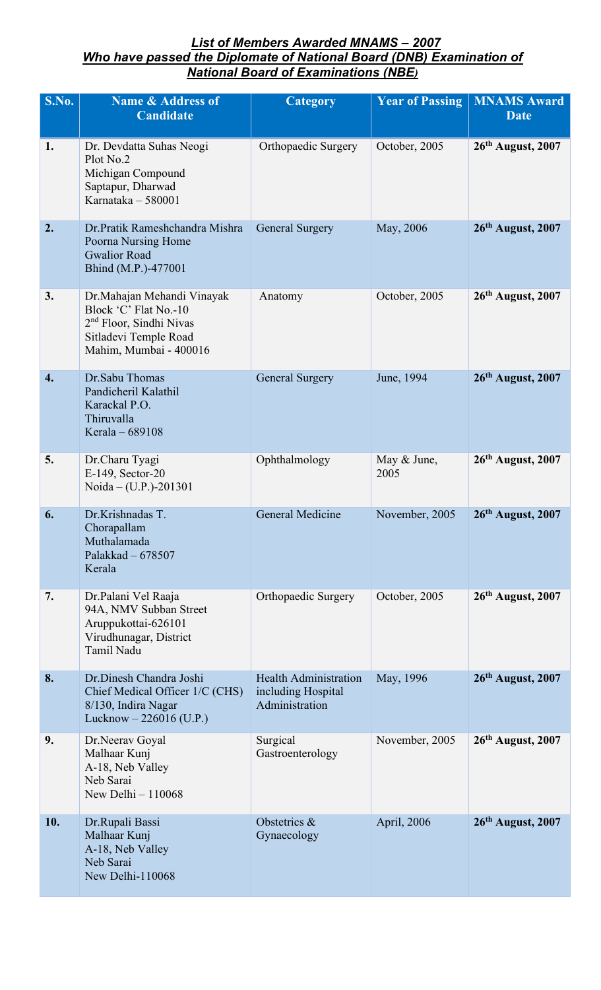## *List of Members Awarded MNAMS – 2007 Who have passed the Diplomate of National Board (DNB) Examination of National Board of Examinations (NBE)*

| S.No.            | <b>Name &amp; Address of</b><br><b>Candidate</b>                                                                                               | <b>Category</b>                                                      | <b>Year of Passing</b> | <b>MNAMS Award</b><br><b>Date</b> |
|------------------|------------------------------------------------------------------------------------------------------------------------------------------------|----------------------------------------------------------------------|------------------------|-----------------------------------|
| 1.               | Dr. Devdatta Suhas Neogi<br>Plot No.2<br>Michigan Compound<br>Saptapur, Dharwad<br>Karnataka - 580001                                          | Orthopaedic Surgery                                                  | October, 2005          | 26th August, 2007                 |
| 2.               | Dr.Pratik Rameshchandra Mishra<br>Poorna Nursing Home<br><b>Gwalior Road</b><br>Bhind (M.P.)-477001                                            | <b>General Surgery</b>                                               | May, 2006              | 26th August, 2007                 |
| 3.               | Dr. Mahajan Mehandi Vinayak<br>Block 'C' Flat No.-10<br>2 <sup>nd</sup> Floor, Sindhi Nivas<br>Sitladevi Temple Road<br>Mahim, Mumbai - 400016 | Anatomy                                                              | October, 2005          | $26th$ August, 2007               |
| $\overline{4}$ . | Dr.Sabu Thomas<br>Pandicheril Kalathil<br>Karackal P.O.<br>Thiruvalla<br>Kerala - 689108                                                       | <b>General Surgery</b>                                               | June, 1994             | 26th August, 2007                 |
| 5.               | Dr.Charu Tyagi<br>E-149, Sector-20<br>Noida – (U.P.)-201301                                                                                    | Ophthalmology                                                        | May & June,<br>2005    | 26th August, 2007                 |
| 6.               | Dr.Krishnadas T.<br>Chorapallam<br>Muthalamada<br>Palakkad - 678507<br>Kerala                                                                  | General Medicine                                                     | November, 2005         | $26th$ August, 2007               |
| 7.               | Dr.Palani Vel Raaja<br>94A, NMV Subban Street<br>Aruppukottai-626101<br>Virudhunagar, District<br><b>Tamil Nadu</b>                            | Orthopaedic Surgery                                                  | October, 2005          | 26th August, 2007                 |
| 8.               | Dr.Dinesh Chandra Joshi<br>Chief Medical Officer 1/C (CHS)<br>8/130, Indira Nagar<br>Lucknow $-226016$ (U.P.)                                  | <b>Health Administration</b><br>including Hospital<br>Administration | May, 1996              | $26th$ August, 2007               |
| 9.               | Dr.Neerav Goyal<br>Malhaar Kunj<br>A-18, Neb Valley<br>Neb Sarai<br>New Delhi - 110068                                                         | Surgical<br>Gastroenterology                                         | November, 2005         | $26th$ August, 2007               |
| 10.              | Dr.Rupali Bassi<br>Malhaar Kunj<br>A-18, Neb Valley<br>Neb Sarai<br>New Delhi-110068                                                           | Obstetrics &<br>Gynaecology                                          | April, 2006            | $26th$ August, 2007               |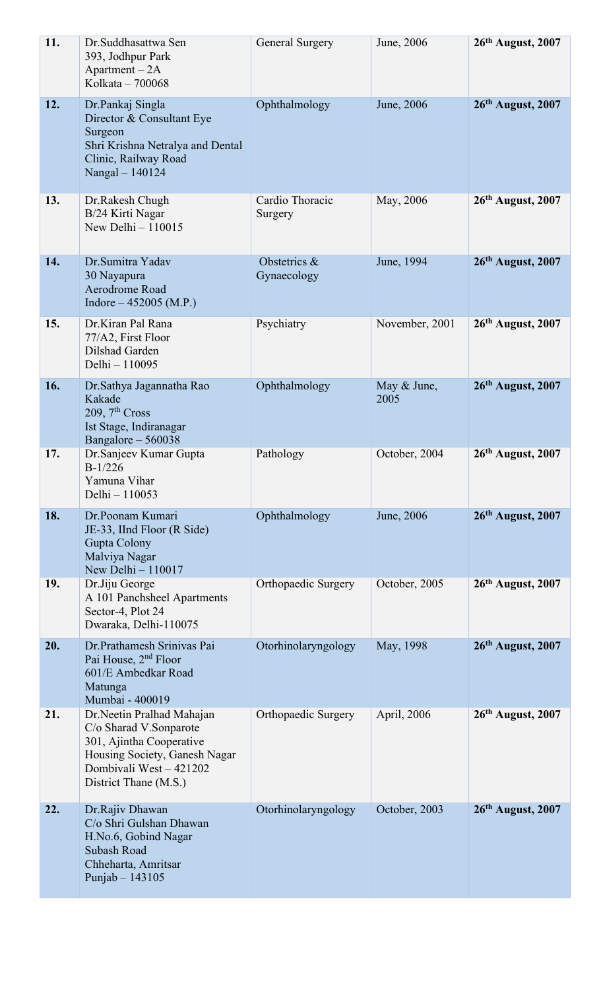| 11. | Dr. Suddhasattwa Sen<br>393, Jodhpur Park<br>$Apartment - 2A$<br>Kolkata - 700068                                                                                    | <b>General Surgery</b>      | June, 2006          | 26th August, 2007   |
|-----|----------------------------------------------------------------------------------------------------------------------------------------------------------------------|-----------------------------|---------------------|---------------------|
| 12. | Dr.Pankaj Singla<br>Director & Consultant Eye<br>Surgeon<br>Shri Krishna Netralya and Dental<br>Clinic, Railway Road<br>Nangal - 140124                              | Ophthalmology               | June, 2006          | 26th August, 2007   |
| 13. | Dr.Rakesh Chugh<br>B/24 Kirti Nagar<br>New Delhi $-110015$                                                                                                           | Cardio Thoracic<br>Surgery  | May, 2006           | $26th$ August, 2007 |
| 14. | Dr.Sumitra Yadav<br>30 Nayapura<br>Aerodrome Road<br>Indore $-452005$ (M.P.)                                                                                         | Obstetrics &<br>Gynaecology | June, 1994          | $26th$ August, 2007 |
| 15. | Dr.Kiran Pal Rana<br>77/A2, First Floor<br>Dilshad Garden<br>Delhi - 110095                                                                                          | Psychiatry                  | November, 2001      | 26th August, 2007   |
| 16. | Dr.Sathya Jagannatha Rao<br>Kakade<br>209, $7th Cross$<br>Ist Stage, Indiranagar<br>Bangalore $-560038$                                                              | Ophthalmology               | May & June,<br>2005 | $26th$ August, 2007 |
| 17. | Dr.Sanjeev Kumar Gupta<br>$B-1/226$<br>Yamuna Vihar<br>Delhi - 110053                                                                                                | Pathology                   | October, 2004       | $26th$ August, 2007 |
| 18. | Dr.Poonam Kumari<br>JE-33, IInd Floor (R Side)<br>Gupta Colony<br>Malviya Nagar<br>New Delhi $-110017$                                                               | Ophthalmology               | June, 2006          | 26th August, 2007   |
| 19. | Dr.Jiju George<br>A 101 Panchsheel Apartments<br>Sector-4, Plot 24<br>Dwaraka, Delhi-110075                                                                          | Orthopaedic Surgery         | October, 2005       | $26th$ August, 2007 |
| 20. | Dr.Prathamesh Srinivas Pai<br>Pai House, 2 <sup>nd</sup> Floor<br>601/E Ambedkar Road<br>Matunga<br>Mumbai - 400019                                                  | Otorhinolaryngology         | May, 1998           | $26th$ August, 2007 |
| 21. | Dr.Neetin Pralhad Mahajan<br>C/o Sharad V.Sonparote<br>301, Ajintha Cooperative<br>Housing Society, Ganesh Nagar<br>Dombivali West - 421202<br>District Thane (M.S.) | Orthopaedic Surgery         | April, 2006         | $26th$ August, 2007 |
| 22. | Dr.Rajiv Dhawan<br>C/o Shri Gulshan Dhawan<br>H.No.6, Gobind Nagar<br><b>Subash Road</b><br>Chheharta, Amritsar<br>Punjab $-143105$                                  | Otorhinolaryngology         | October, 2003       | 26th August, 2007   |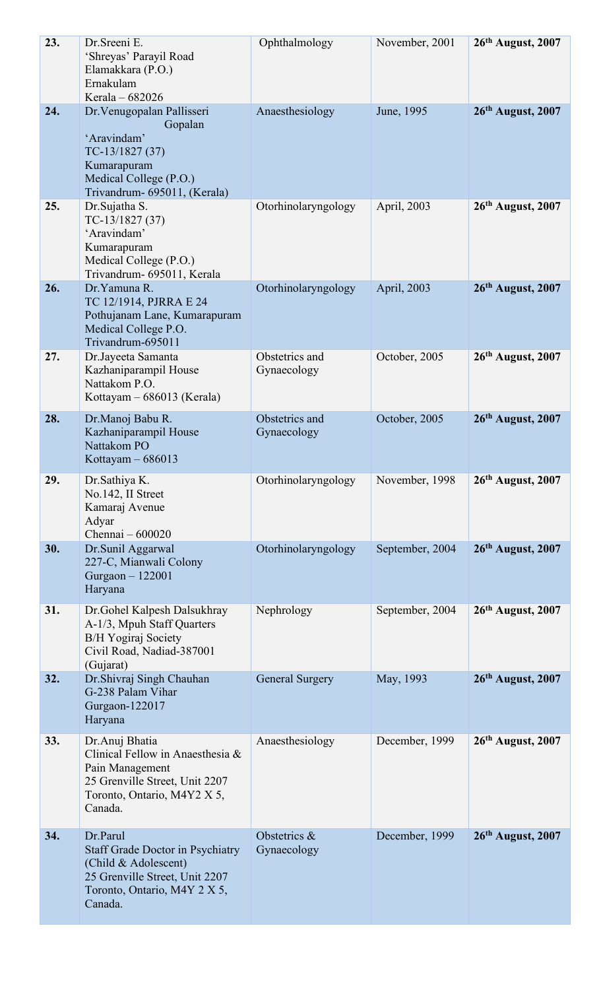| 23. | Dr. Sreeni E.<br>'Shreyas' Parayil Road<br>Elamakkara (P.O.)<br>Ernakulam<br>Kerala - 682026                                                             | Ophthalmology                 | November, 2001  | $26th$ August, 2007 |
|-----|----------------------------------------------------------------------------------------------------------------------------------------------------------|-------------------------------|-----------------|---------------------|
| 24. | Dr. Venugopalan Pallisseri<br>Gopalan<br>'Aravindam'<br>$TC-13/1827(37)$<br>Kumarapuram<br>Medical College (P.O.)<br>Trivandrum- 695011, (Kerala)        | Anaesthesiology               | June, 1995      | $26th$ August, 2007 |
| 25. | Dr.Sujatha S.<br>$TC-13/1827(37)$<br>'Aravindam'<br>Kumarapuram<br>Medical College (P.O.)<br>Trivandrum- 695011, Kerala                                  | Otorhinolaryngology           | April, 2003     | 26th August, 2007   |
| 26. | Dr. Yamuna R.<br>TC 12/1914, PJRRA E 24<br>Pothujanam Lane, Kumarapuram<br>Medical College P.O.<br>Trivandrum-695011                                     | Otorhinolaryngology           | April, 2003     | $26th$ August, 2007 |
| 27. | Dr.Jayeeta Samanta<br>Kazhaniparampil House<br>Nattakom P.O.<br>Kottayam – 686013 (Kerala)                                                               | Obstetrics and<br>Gynaecology | October, 2005   | $26th$ August, 2007 |
| 28. | Dr.Manoj Babu R.<br>Kazhaniparampil House<br>Nattakom PO<br>Kottayam $-686013$                                                                           | Obstetrics and<br>Gynaecology | October, 2005   | 26th August, 2007   |
| 29. | Dr.Sathiya K.<br>No.142, II Street<br>Kamaraj Avenue<br>Adyar<br>Chennai - 600020                                                                        | Otorhinolaryngology           | November, 1998  | 26th August, 2007   |
| 30. | Dr.Sunil Aggarwal<br>227-C, Mianwali Colony<br>Gurgaon - 122001<br>Haryana                                                                               | Otorhinolaryngology           | September, 2004 | 26th August, 2007   |
| 31. | Dr. Gohel Kalpesh Dalsukhray<br>A-1/3, Mpuh Staff Quarters<br><b>B/H Yogiraj Society</b><br>Civil Road, Nadiad-387001<br>(Gujarat)                       | Nephrology                    | September, 2004 | $26th$ August, 2007 |
| 32. | Dr. Shivraj Singh Chauhan<br>G-238 Palam Vihar<br>Gurgaon-122017<br>Haryana                                                                              | <b>General Surgery</b>        | May, 1993       | $26th$ August, 2007 |
| 33. | Dr.Anuj Bhatia<br>Clinical Fellow in Anaesthesia &<br>Pain Management<br>25 Grenville Street, Unit 2207<br>Toronto, Ontario, M4Y2 X 5,<br>Canada.        | Anaesthesiology               | December, 1999  | $26th$ August, 2007 |
| 34. | Dr.Parul<br><b>Staff Grade Doctor in Psychiatry</b><br>(Child & Adolescent)<br>25 Grenville Street, Unit 2207<br>Toronto, Ontario, M4Y 2 X 5,<br>Canada. | Obstetrics &<br>Gynaecology   | December, 1999  | $26th$ August, 2007 |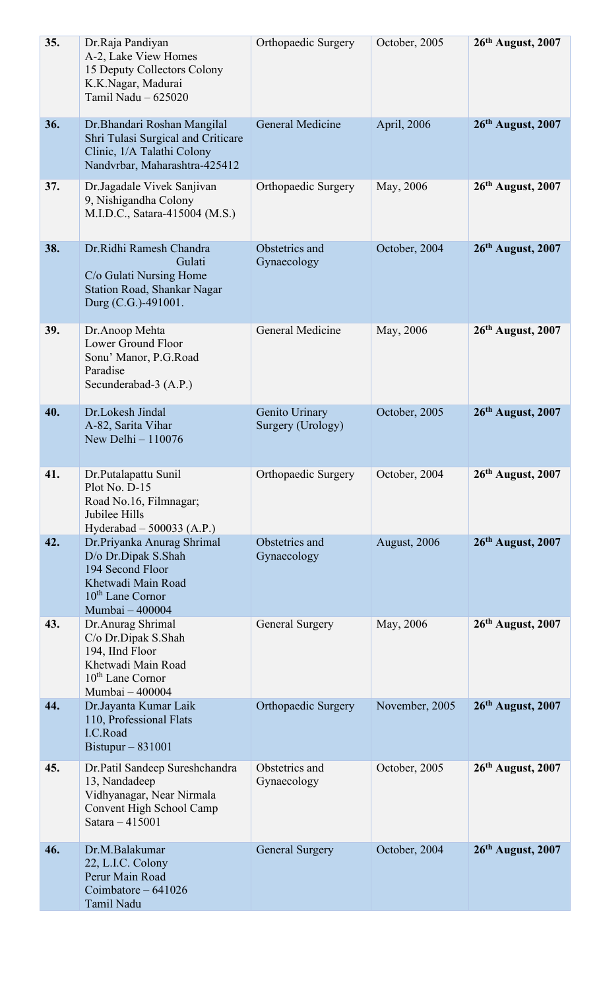| 35. | Dr.Raja Pandiyan<br>A-2, Lake View Homes<br>15 Deputy Collectors Colony<br>K.K.Nagar, Madurai<br>Tamil Nadu - 625020                           | Orthopaedic Surgery                 | October, 2005       | 26th August, 2007   |
|-----|------------------------------------------------------------------------------------------------------------------------------------------------|-------------------------------------|---------------------|---------------------|
| 36. | Dr. Bhandari Roshan Mangilal<br>Shri Tulasi Surgical and Criticare<br>Clinic, 1/A Talathi Colony<br>Nandvrbar, Maharashtra-425412              | General Medicine                    | April, 2006         | 26th August, 2007   |
| 37. | Dr.Jagadale Vivek Sanjivan<br>9, Nishigandha Colony<br>M.I.D.C., Satara-415004 (M.S.)                                                          | Orthopaedic Surgery                 | May, 2006           | $26th$ August, 2007 |
| 38. | Dr.Ridhi Ramesh Chandra<br>Gulati<br>C/o Gulati Nursing Home<br>Station Road, Shankar Nagar<br>Durg (C.G.)-491001.                             | Obstetrics and<br>Gynaecology       | October, 2004       | 26th August, 2007   |
| 39. | Dr.Anoop Mehta<br>Lower Ground Floor<br>Sonu' Manor, P.G.Road<br>Paradise<br>Secunderabad-3 (A.P.)                                             | General Medicine                    | May, 2006           | $26th$ August, 2007 |
| 40. | Dr.Lokesh Jindal<br>A-82, Sarita Vihar<br>New Delhi - 110076                                                                                   | Genito Urinary<br>Surgery (Urology) | October, 2005       | 26th August, 2007   |
| 41  | Dr.Putalapattu Sunil<br>Plot No. D-15<br>Road No.16, Filmnagar;<br>Jubilee Hills<br>Hyderabad $-500033$ (A.P.)                                 | Orthopaedic Surgery                 | October, 2004       | $26th$ August, 2007 |
| 42. | Dr.Priyanka Anurag Shrimal<br>D/o Dr.Dipak S.Shah<br>194 Second Floor<br>Khetwadi Main Road<br>10 <sup>th</sup> Lane Cornor<br>Mumbai - 400004 | Obstetrics and<br>Gynaecology       | <b>August, 2006</b> | 26th August, 2007   |
| 43. | Dr. Anurag Shrimal<br>C/o Dr.Dipak S.Shah<br>194, IInd Floor<br>Khetwadi Main Road<br>10 <sup>th</sup> Lane Cornor<br>Mumbai - 400004          | <b>General Surgery</b>              | May, 2006           | 26th August, 2007   |
| 44. | Dr.Jayanta Kumar Laik<br>110, Professional Flats<br>I.C.Road<br>Bistupur $-831001$                                                             | <b>Orthopaedic Surgery</b>          | November, 2005      | 26th August, 2007   |
| 45. | Dr.Patil Sandeep Sureshchandra<br>13, Nandadeep<br>Vidhyanagar, Near Nirmala<br>Convent High School Camp<br>Satara - 415001                    | Obstetrics and<br>Gynaecology       | October, 2005       | $26th$ August, 2007 |
| 46. | Dr.M.Balakumar<br>22, L.I.C. Colony<br>Perur Main Road<br>Coimbatore $-641026$<br>Tamil Nadu                                                   | <b>General Surgery</b>              | October, 2004       | 26th August, 2007   |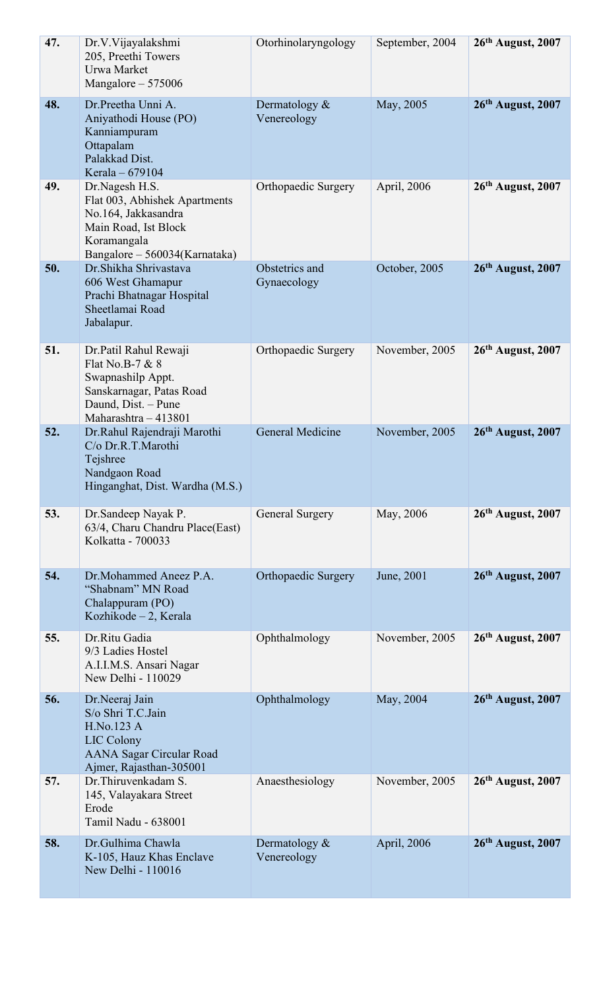| 47. | Dr.V.Vijayalakshmi<br>205, Preethi Towers<br>Urwa Market<br>Mangalore - 575006                                                                 | Otorhinolaryngology             | September, 2004 | $26th$ August, 2007 |
|-----|------------------------------------------------------------------------------------------------------------------------------------------------|---------------------------------|-----------------|---------------------|
| 48. | Dr.Preetha Unni A.<br>Aniyathodi House (PO)<br>Kanniampuram<br>Ottapalam<br>Palakkad Dist.<br>Kerala - 679104                                  | Dermatology $\&$<br>Venereology | May, 2005       | 26th August, 2007   |
| 49. | Dr.Nagesh H.S.<br>Flat 003, Abhishek Apartments<br>No.164, Jakkasandra<br>Main Road, Ist Block<br>Koramangala<br>Bangalore - 560034(Karnataka) | Orthopaedic Surgery             | April, 2006     | $26th$ August, 2007 |
| 50. | Dr. Shikha Shrivastava<br>606 West Ghamapur<br>Prachi Bhatnagar Hospital<br>Sheetlamai Road<br>Jabalapur.                                      | Obstetrics and<br>Gynaecology   | October, 2005   | 26th August, 2007   |
| 51. | Dr.Patil Rahul Rewaji<br>Flat No.B-7 & 8<br>Swapnashilp Appt.<br>Sanskarnagar, Patas Road<br>Daund, Dist. - Pune<br>Maharashtra - 413801       | Orthopaedic Surgery             | November, 2005  | $26th$ August, 2007 |
| 52. | Dr.Rahul Rajendraji Marothi<br>C/o Dr.R.T.Marothi<br>Tejshree<br>Nandgaon Road<br>Hinganghat, Dist. Wardha (M.S.)                              | General Medicine                | November, 2005  | $26th$ August, 2007 |
| 53. | Dr. Sandeep Nayak P.<br>63/4, Charu Chandru Place(East)<br>Kolkatta - 700033                                                                   | General Surgery                 | May, 2006       | $26th$ August, 2007 |
| 54. | Dr.Mohammed Aneez P.A.<br>"Shabnam" MN Road<br>Chalappuram (PO)<br>Kozhikode $-2$ , Kerala                                                     | <b>Orthopaedic Surgery</b>      | June, 2001      | $26th$ August, 2007 |
| 55. | Dr.Ritu Gadia<br>9/3 Ladies Hostel<br>A.I.I.M.S. Ansari Nagar<br>New Delhi - 110029                                                            | Ophthalmology                   | November, 2005  | $26th$ August, 2007 |
| 56. | Dr.Neeraj Jain<br>S/o Shri T.C.Jain<br>H.No.123 A<br>LIC Colony<br><b>AANA Sagar Circular Road</b><br>Ajmer, Rajasthan-305001                  | Ophthalmology                   | May, 2004       | $26th$ August, 2007 |
| 57. | Dr. Thiruvenkadam S.<br>145, Valayakara Street<br>Erode<br>Tamil Nadu - 638001                                                                 | Anaesthesiology                 | November, 2005  | $26th$ August, 2007 |
| 58. | Dr.Gulhima Chawla<br>K-105, Hauz Khas Enclave<br>New Delhi - 110016                                                                            | Dermatology $&$<br>Venereology  | April, 2006     | 26th August, 2007   |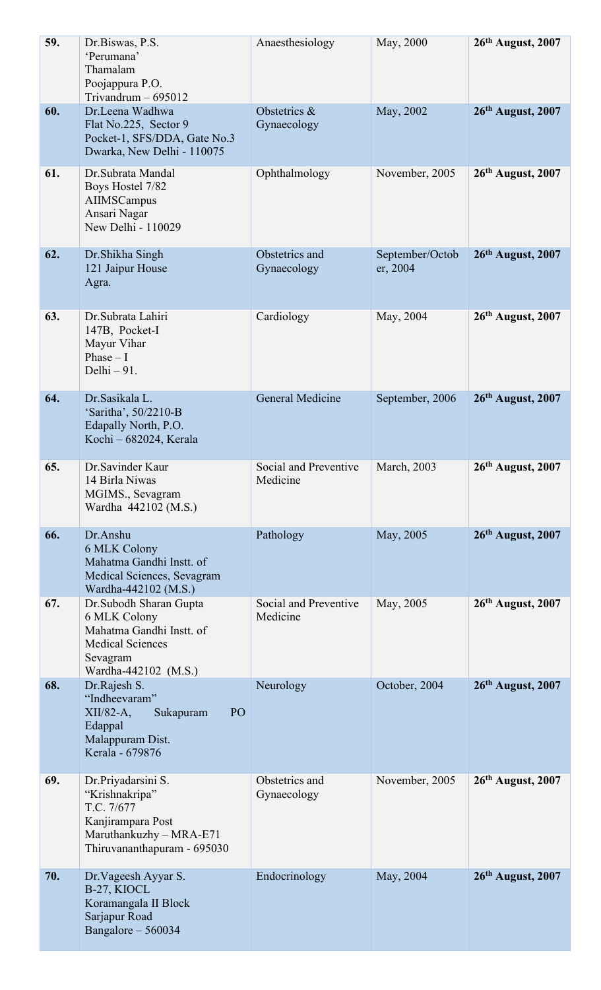| 59. | Dr.Biswas, P.S.<br>'Perumana'<br>Thamalam<br>Poojappura P.O.<br>Trivandrum $-695012$                                              | Anaesthesiology                   | May, 2000                   | $26th$ August, 2007 |
|-----|-----------------------------------------------------------------------------------------------------------------------------------|-----------------------------------|-----------------------------|---------------------|
| 60. | Dr.Leena Wadhwa<br>Flat No.225, Sector 9<br>Pocket-1, SFS/DDA, Gate No.3<br>Dwarka, New Delhi - 110075                            | Obstetrics &<br>Gynaecology       | May, 2002                   | 26th August, 2007   |
| 61. | Dr.Subrata Mandal<br>Boys Hostel 7/82<br>AIIMSCampus<br>Ansari Nagar<br>New Delhi - 110029                                        | Ophthalmology                     | November, 2005              | 26th August, 2007   |
| 62. | Dr. Shikha Singh<br>121 Jaipur House<br>Agra.                                                                                     | Obstetrics and<br>Gynaecology     | September/Octob<br>er, 2004 | 26th August, 2007   |
| 63. | Dr.Subrata Lahiri<br>147B, Pocket-I<br>Mayur Vihar<br>Phase $-1$<br>Delhi $-91$ .                                                 | Cardiology                        | May, 2004                   | $26th$ August, 2007 |
| 64. | Dr.Sasikala L.<br>'Saritha', 50/2210-B<br>Edapally North, P.O.<br>Kochi - 682024, Kerala                                          | <b>General Medicine</b>           | September, 2006             | $26th$ August, 2007 |
| 65. | Dr.Savinder Kaur<br>14 Birla Niwas<br>MGIMS., Sevagram<br>Wardha 442102 (M.S.)                                                    | Social and Preventive<br>Medicine | <b>March</b> , 2003         | $26th$ August, 2007 |
| 66. | Dr.Anshu<br>6 MLK Colony<br>Mahatma Gandhi Instt. of<br>Medical Sciences, Sevagram<br>Wardha-442102 (M.S.)                        | Pathology                         | May, 2005                   | $26th$ August, 2007 |
| 67. | Dr.Subodh Sharan Gupta<br>6 MLK Colony<br>Mahatma Gandhi Instt. of<br><b>Medical Sciences</b><br>Sevagram<br>Wardha-442102 (M.S.) | Social and Preventive<br>Medicine | May, 2005                   | $26th$ August, 2007 |
| 68. | Dr.Rajesh S.<br>"Indheevaram"<br>$XII/82-A$ ,<br>PO<br>Sukapuram<br>Edappal<br>Malappuram Dist.<br>Kerala - 679876                | Neurology                         | October, 2004               | $26th$ August, 2007 |
| 69. | Dr.Priyadarsini S.<br>"Krishnakripa"<br>T.C. 7/677<br>Kanjirampara Post<br>Maruthankuzhy - MRA-E71<br>Thiruvananthapuram - 695030 | Obstetrics and<br>Gynaecology     | November, 2005              | $26th$ August, 2007 |
| 70. | Dr. Vageesh Ayyar S.<br>B-27, KIOCL<br>Koramangala II Block<br>Sarjapur Road<br>Bangalore - 560034                                | Endocrinology                     | May, 2004                   | $26th$ August, 2007 |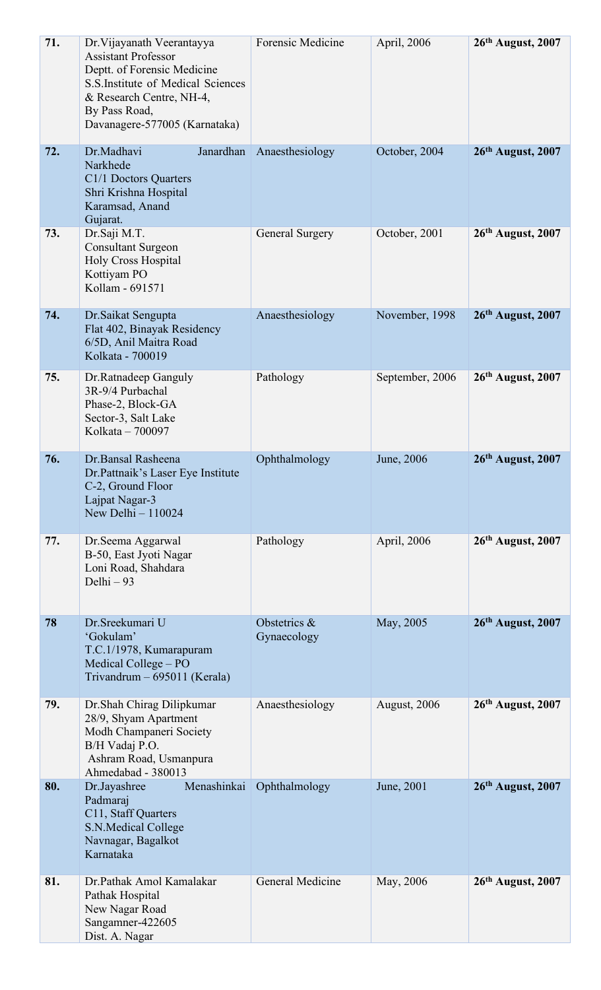| 71. | Dr. Vijayanath Veerantayya<br><b>Assistant Professor</b><br>Deptt. of Forensic Medicine<br>S.S. Institute of Medical Sciences<br>& Research Centre, NH-4,<br>By Pass Road,<br>Davanagere-577005 (Karnataka) | Forensic Medicine           | April, 2006         | 26th August, 2007   |
|-----|-------------------------------------------------------------------------------------------------------------------------------------------------------------------------------------------------------------|-----------------------------|---------------------|---------------------|
| 72. | Dr.Madhavi<br>Janardhan<br>Narkhede<br>C1/1 Doctors Quarters<br>Shri Krishna Hospital<br>Karamsad, Anand<br>Gujarat.                                                                                        | Anaesthesiology             | October, 2004       | $26th$ August, 2007 |
| 73. | Dr.Saji M.T.<br><b>Consultant Surgeon</b><br>Holy Cross Hospital<br>Kottiyam PO<br>Kollam - 691571                                                                                                          | General Surgery             | October, 2001       | $26th$ August, 2007 |
| 74. | Dr. Saikat Sengupta<br>Flat 402, Binayak Residency<br>6/5D, Anil Maitra Road<br>Kolkata - 700019                                                                                                            | Anaesthesiology             | November, 1998      | $26th$ August, 2007 |
| 75. | Dr.Ratnadeep Ganguly<br>3R-9/4 Purbachal<br>Phase-2, Block-GA<br>Sector-3, Salt Lake<br>Kolkata - 700097                                                                                                    | Pathology                   | September, 2006     | $26th$ August, 2007 |
| 76. | Dr.Bansal Rasheena<br>Dr. Pattnaik's Laser Eye Institute<br>C-2, Ground Floor<br>Lajpat Nagar-3<br>New Delhi $-110024$                                                                                      | Ophthalmology               | June, 2006          | $26th$ August, 2007 |
| 77. | Dr.Seema Aggarwal<br>B-50, East Jyoti Nagar<br>Loni Road, Shahdara<br>Delhi - 93                                                                                                                            | Pathology                   | April, 2006         | 26th August, 2007   |
| 78  | Dr. Sreekumari U<br>'Gokulam'<br>T.C.1/1978, Kumarapuram<br>Medical College – PO<br>Trivandrum - 695011 (Kerala)                                                                                            | Obstetrics &<br>Gynaecology | May, 2005           | 26th August, 2007   |
| 79. | Dr.Shah Chirag Dilipkumar<br>28/9, Shyam Apartment<br>Modh Champaneri Society<br>B/H Vadaj P.O.<br>Ashram Road, Usmanpura<br>Ahmedabad - 380013                                                             | Anaesthesiology             | <b>August, 2006</b> | 26th August, 2007   |
| 80. | Menashinkai<br>Dr.Jayashree<br>Padmaraj<br>C11, Staff Quarters<br>S.N.Medical College<br>Navnagar, Bagalkot<br>Karnataka                                                                                    | Ophthalmology               | June, 2001          | $26th$ August, 2007 |
| 81. | Dr.Pathak Amol Kamalakar<br>Pathak Hospital<br>New Nagar Road<br>Sangamner-422605<br>Dist. A. Nagar                                                                                                         | General Medicine            | May, 2006           | 26th August, 2007   |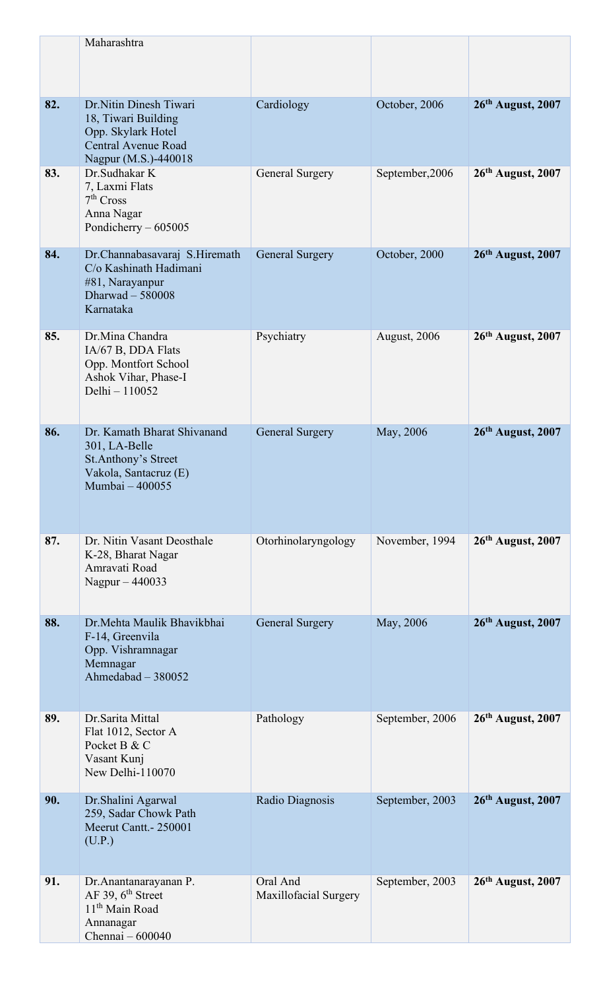|     | Maharashtra                                                                                                            |                                   |                     |                     |
|-----|------------------------------------------------------------------------------------------------------------------------|-----------------------------------|---------------------|---------------------|
| 82. | Dr.Nitin Dinesh Tiwari<br>18, Tiwari Building<br>Opp. Skylark Hotel<br>Central Avenue Road<br>Nagpur (M.S.)-440018     | Cardiology                        | October, 2006       | 26th August, 2007   |
| 83. | Dr.Sudhakar K<br>7, Laxmi Flats<br>7 <sup>th</sup> Cross<br>Anna Nagar<br>Pondicherry - 605005                         | General Surgery                   | September, 2006     | 26th August, 2007   |
| 84. | Dr.Channabasavaraj S.Hiremath<br>C/o Kashinath Hadimani<br>#81, Narayanpur<br>Dharwad $-580008$<br>Karnataka           | <b>General Surgery</b>            | October, 2000       | 26th August, 2007   |
| 85. | Dr.Mina Chandra<br>IA/67 B, DDA Flats<br>Opp. Montfort School<br>Ashok Vihar, Phase-I<br>Delhi - 110052                | Psychiatry                        | <b>August, 2006</b> | $26th$ August, 2007 |
| 86. | Dr. Kamath Bharat Shivanand<br>301, LA-Belle<br><b>St.Anthony's Street</b><br>Vakola, Santacruz (E)<br>Mumbai - 400055 | <b>General Surgery</b>            | May, 2006           | $26th$ August, 2007 |
| 87. | Dr. Nitin Vasant Deosthale<br>K-28, Bharat Nagar<br>Amravati Road<br>Nagpur - 440033                                   | Otorhinolaryngology               | November, 1994      | 26th August, 2007   |
| 88. | Dr. Mehta Maulik Bhavikbhai<br>F-14, Greenvila<br>Opp. Vishramnagar<br>Memnagar<br>Ahmedabad - 380052                  | <b>General Surgery</b>            | May, 2006           | $26th$ August, 2007 |
| 89. | Dr.Sarita Mittal<br>Flat 1012, Sector A<br>Pocket B & C<br>Vasant Kunj<br>New Delhi-110070                             | Pathology                         | September, 2006     | 26th August, 2007   |
| 90. | Dr.Shalini Agarwal<br>259, Sadar Chowk Path<br>Meerut Cantt. - 250001<br>(U.P.)                                        | Radio Diagnosis                   | September, 2003     | $26th$ August, 2007 |
| 91. | Dr.Anantanarayanan P.<br>AF 39, $6^{\text{th}}$ Street<br>11 <sup>th</sup> Main Road<br>Annanagar<br>Chennai - 600040  | Oral And<br>Maxillofacial Surgery | September, 2003     | $26th$ August, 2007 |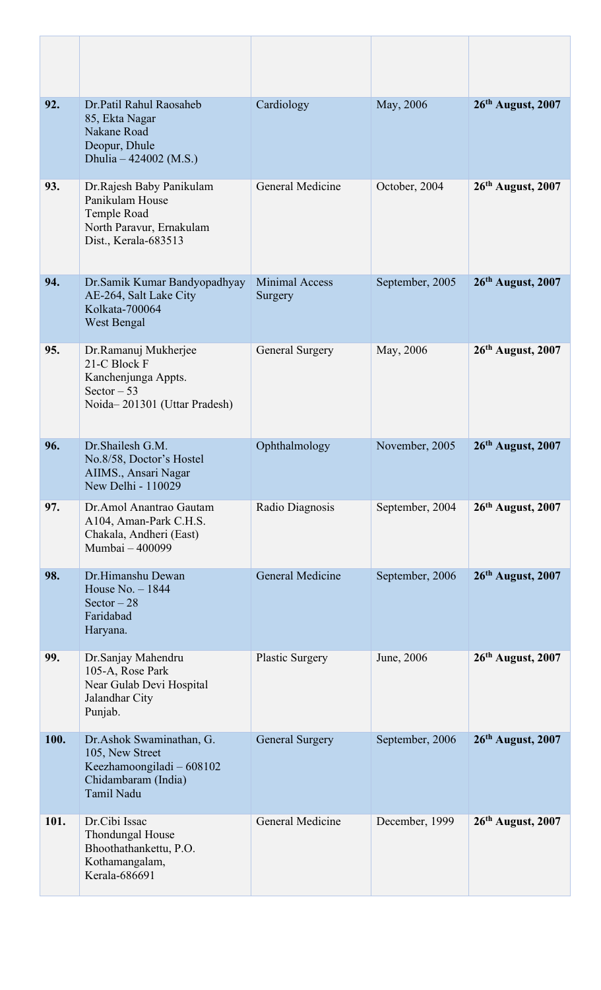| 92.  | Dr.Patil Rahul Raosaheb<br>85, Ekta Nagar<br>Nakane Road<br>Deopur, Dhule<br>Dhulia $-424002$ (M.S.)                 | Cardiology                       | May, 2006       | 26th August, 2007   |
|------|----------------------------------------------------------------------------------------------------------------------|----------------------------------|-----------------|---------------------|
| 93.  | Dr. Rajesh Baby Panikulam<br>Panikulam House<br>Temple Road<br>North Paravur, Ernakulam<br>Dist., Kerala-683513      | General Medicine                 | October, 2004   | $26th$ August, 2007 |
| 94.  | Dr.Samik Kumar Bandyopadhyay<br>AE-264, Salt Lake City<br>Kolkata-700064<br>West Bengal                              | <b>Minimal Access</b><br>Surgery | September, 2005 | 26th August, 2007   |
| 95.  | Dr.Ramanuj Mukherjee<br>21-C Block F<br>Kanchenjunga Appts.<br>Sector $-53$<br>Noida-201301 (Uttar Pradesh)          | General Surgery                  | May, 2006       | 26th August, 2007   |
| 96.  | Dr.Shailesh G.M.<br>No.8/58, Doctor's Hostel<br>AIIMS., Ansari Nagar<br>New Delhi - 110029                           | Ophthalmology                    | November, 2005  | 26th August, 2007   |
| 97.  | Dr.Amol Anantrao Gautam<br>A104, Aman-Park C.H.S.<br>Chakala, Andheri (East)<br>Mumbai - 400099                      | Radio Diagnosis                  | September, 2004 | $26th$ August, 2007 |
| 98.  | Dr.Himanshu Dewan<br>House $No. - 1844$<br>Sector $-28$<br>Faridabad<br>Haryana.                                     | <b>General Medicine</b>          | September, 2006 | $26th$ August, 2007 |
| 99.  | Dr.Sanjay Mahendru<br>105-A, Rose Park<br>Near Gulab Devi Hospital<br>Jalandhar City<br>Punjab.                      | <b>Plastic Surgery</b>           | June, 2006      | 26th August, 2007   |
| 100. | Dr.Ashok Swaminathan, G.<br>105, New Street<br>Keezhamoongiladi - 608102<br>Chidambaram (India)<br><b>Tamil Nadu</b> | <b>General Surgery</b>           | September, 2006 | 26th August, 2007   |
| 101. | Dr.Cibi Issac<br>Thondungal House<br>Bhoothathankettu, P.O.<br>Kothamangalam,<br>Kerala-686691                       | General Medicine                 | December, 1999  | $26th$ August, 2007 |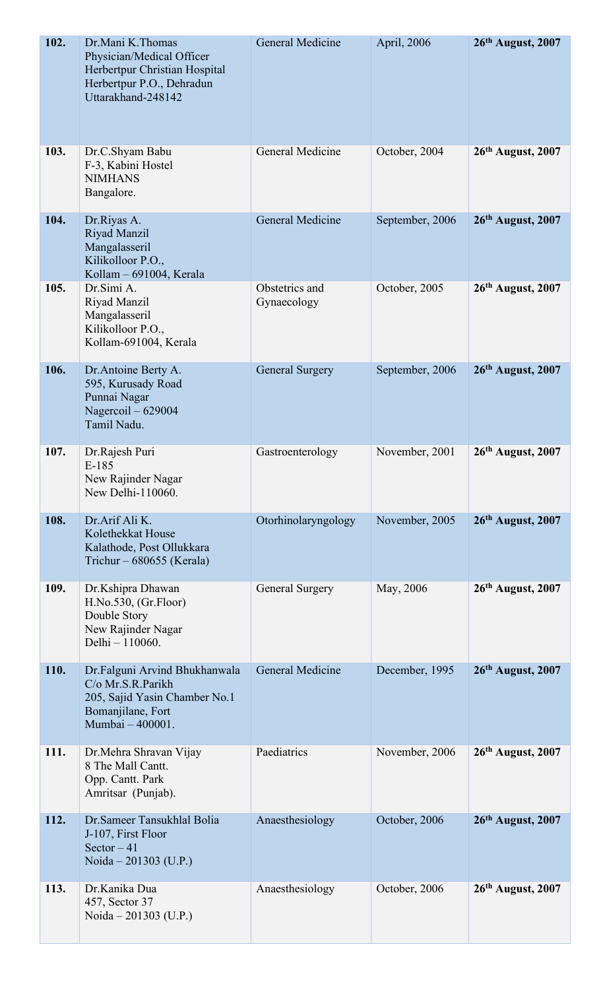| 102. | Dr.Mani K.Thomas<br>Physician/Medical Officer<br>Herbertpur Christian Hospital<br>Herbertpur P.O., Dehradun<br>Uttarakhand-248142 | General Medicine              | April, 2006     | 26th August, 2007             |
|------|-----------------------------------------------------------------------------------------------------------------------------------|-------------------------------|-----------------|-------------------------------|
| 103. | Dr.C.Shyam Babu<br>F-3, Kabini Hostel<br><b>NIMHANS</b><br>Bangalore.                                                             | General Medicine              | October, 2004   | $26th$ August, 2007           |
| 104. | Dr.Riyas A.<br>Riyad Manzil<br>Mangalasseril<br>Kilikolloor P.O.,<br>Kollam - 691004, Kerala                                      | General Medicine              | September, 2006 | $26th$ August, 2007           |
| 105. | Dr.Simi A.<br>Riyad Manzil<br>Mangalasseril<br>Kilikolloor P.O.,<br>Kollam-691004, Kerala                                         | Obstetrics and<br>Gynaecology | October, 2005   | 26th August, 2007             |
| 106. | Dr.Antoine Berty A.<br>595, Kurusady Road<br>Punnai Nagar<br>Nagercoil - 629004<br>Tamil Nadu.                                    | <b>General Surgery</b>        | September, 2006 | $26th$ August, 2007           |
| 107. | Dr.Rajesh Puri<br>$E-185$<br>New Rajinder Nagar<br>New Delhi-110060.                                                              | Gastroenterology              | November, 2001  | $26th$ August, 2007           |
| 108. | Dr.Arif Ali K.<br>Kolethekkat House<br>Kalathode, Post Ollukkara<br>Trichur - 680655 (Kerala)                                     | Otorhinolaryngology           | November, 2005  | 26th August, 2007             |
| 109. | Dr.Kshipra Dhawan<br>H.No.530, (Gr.Floor)<br>Double Story<br>New Rajinder Nagar<br>Delhi - 110060.                                | General Surgery               | May, 2006       | 26 <sup>th</sup> August, 2007 |
| 110. | Dr.Falguni Arvind Bhukhanwala<br>C/o Mr.S.R.Parikh<br>205, Sajid Yasin Chamber No.1<br>Bomanjilane, Fort<br>Mumbai - 400001.      | General Medicine              | December, 1995  | $26th$ August, 2007           |
| 111. | Dr. Mehra Shravan Vijay<br>8 The Mall Cantt.<br>Opp. Cantt. Park<br>Amritsar (Punjab).                                            | Paediatrics                   | November, 2006  | $26th$ August, 2007           |
| 112. | Dr. Sameer Tansukhlal Bolia<br>J-107, First Floor<br>Sector $-41$<br>Noida $-201303$ (U.P.)                                       | Anaesthesiology               | October, 2006   | 26th August, 2007             |
| 113. | Dr.Kanika Dua<br>457, Sector 37<br>Noida $-201303$ (U.P.)                                                                         | Anaesthesiology               | October, 2006   | 26th August, 2007             |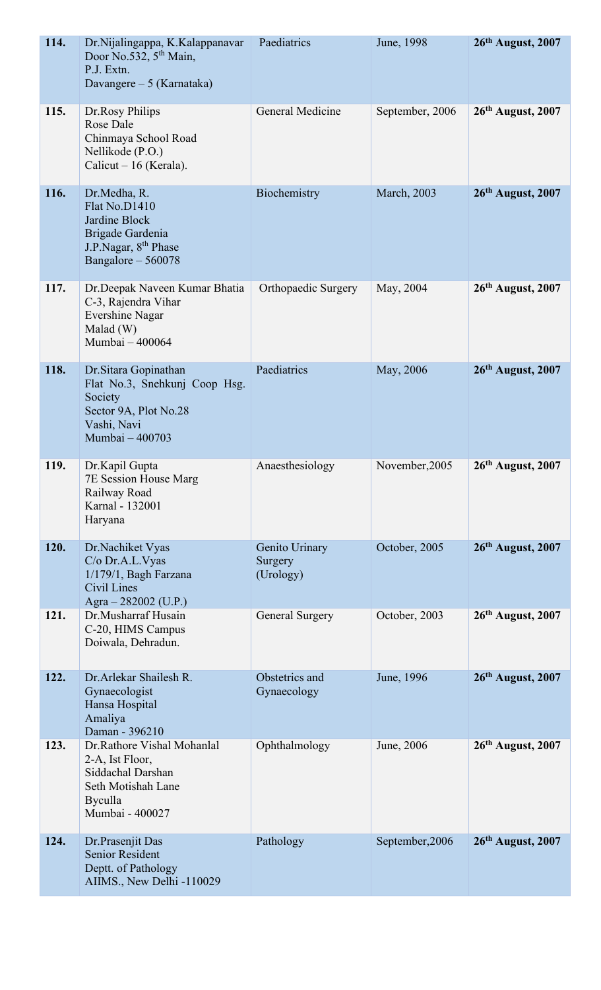| 114. | Dr.Nijalingappa, K.Kalappanavar<br>Door No.532, $5th$ Main,<br>P.J. Extn.<br>Davangere – 5 (Karnataka)                        | Paediatrics                            | June, 1998          | $26th$ August, 2007 |
|------|-------------------------------------------------------------------------------------------------------------------------------|----------------------------------------|---------------------|---------------------|
| 115. | Dr.Rosy Philips<br><b>Rose Dale</b><br>Chinmaya School Road<br>Nellikode (P.O.)<br>Calicut $-16$ (Kerala).                    | General Medicine                       | September, 2006     | 26th August, 2007   |
| 116. | Dr.Medha, R.<br>Flat No.D1410<br>Jardine Block<br>Brigade Gardenia<br>J.P.Nagar, 8 <sup>th</sup> Phase<br>Bangalore - 560078  | Biochemistry                           | <b>March</b> , 2003 | 26th August, 2007   |
| 117. | Dr.Deepak Naveen Kumar Bhatia<br>C-3, Rajendra Vihar<br><b>Evershine Nagar</b><br>Malad(W)<br>Mumbai - 400064                 | Orthopaedic Surgery                    | May, 2004           | 26th August, 2007   |
| 118. | Dr. Sitara Gopinathan<br>Flat No.3, Snehkunj Coop Hsg.<br>Society<br>Sector 9A, Plot No.28<br>Vashi, Navi<br>Mumbai - 400703  | Paediatrics                            | May, 2006           | 26th August, 2007   |
| 119. | Dr.Kapil Gupta<br>7E Session House Marg<br>Railway Road<br>Karnal - 132001<br>Haryana                                         | Anaesthesiology                        | November, 2005      | 26th August, 2007   |
| 120. | Dr.Nachiket Vyas<br>C/o Dr.A.L.Vyas<br>1/179/1, Bagh Farzana<br>Civil Lines<br>Agra $-282002$ (U.P.)                          | Genito Urinary<br>Surgery<br>(Urology) | October, 2005       | 26th August, 2007   |
| 121. | Dr.Musharraf Husain<br>C-20, HIMS Campus<br>Doiwala, Dehradun.                                                                | General Surgery                        | October, 2003       | $26th$ August, 2007 |
| 122. | Dr. Arlekar Shailesh R.<br>Gynaecologist<br>Hansa Hospital<br>Amaliya<br>Daman - 396210                                       | Obstetrics and<br>Gynaecology          | June, 1996          | 26th August, 2007   |
| 123. | Dr.Rathore Vishal Mohanlal<br>2-A, Ist Floor,<br>Siddachal Darshan<br>Seth Motishah Lane<br><b>Byculla</b><br>Mumbai - 400027 | Ophthalmology                          | June, 2006          | $26th$ August, 2007 |
| 124. | Dr.Prasenjit Das<br><b>Senior Resident</b><br>Deptt. of Pathology<br>AIIMS., New Delhi -110029                                | Pathology                              | September, 2006     | $26th$ August, 2007 |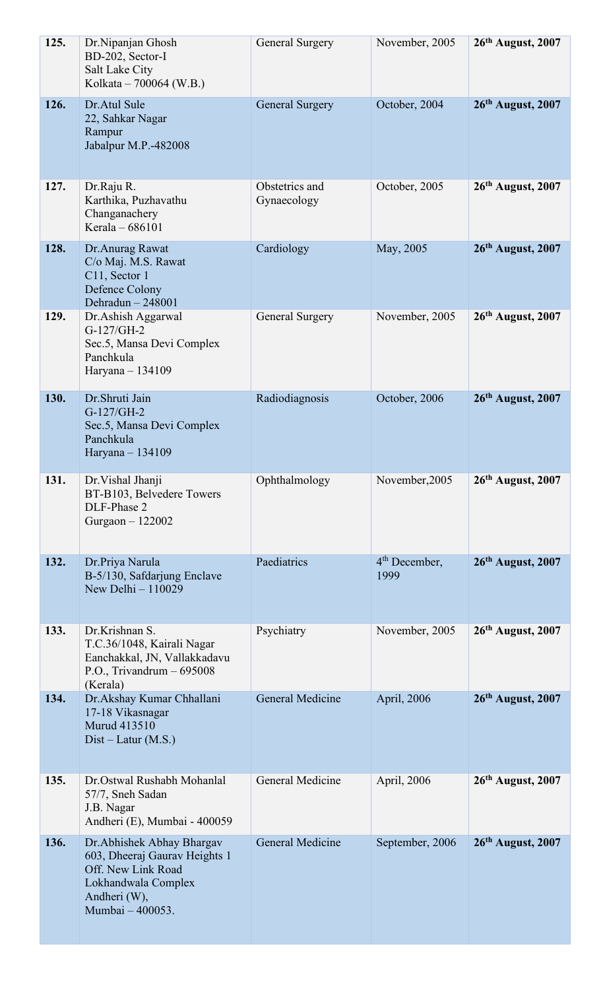| 125. | Dr.Nipanjan Ghosh<br>BD-202, Sector-I<br>Salt Lake City<br>Kolkata – 700064 (W.B.)                                                           | <b>General Surgery</b>        | November, 2005          | $26th$ August, 2007 |
|------|----------------------------------------------------------------------------------------------------------------------------------------------|-------------------------------|-------------------------|---------------------|
| 126. | Dr.Atul Sule<br>22, Sahkar Nagar<br>Rampur<br>Jabalpur M.P.-482008                                                                           | <b>General Surgery</b>        | October, 2004           | 26th August, 2007   |
| 127. | Dr.Raju R.<br>Karthika, Puzhavathu<br>Changanachery<br>Kerala - 686101                                                                       | Obstetrics and<br>Gynaecology | October, 2005           | 26th August, 2007   |
| 128. | Dr. Anurag Rawat<br>C/o Maj. M.S. Rawat<br>C11, Sector 1<br><b>Defence Colony</b><br>Dehradun $-248001$                                      | Cardiology                    | May, 2005               | 26th August, 2007   |
| 129. | Dr. Ashish Aggarwal<br>G-127/GH-2<br>Sec.5, Mansa Devi Complex<br>Panchkula<br>Haryana - 134109                                              | <b>General Surgery</b>        | November, 2005          | 26th August, 2007   |
| 130. | Dr.Shruti Jain<br>G-127/GH-2<br>Sec.5, Mansa Devi Complex<br>Panchkula<br>Haryana - 134109                                                   | Radiodiagnosis                | October, 2006           | $26th$ August, 2007 |
| 131. | Dr. Vishal Jhanji<br>BT-B103, Belvedere Towers<br>DLF-Phase 2<br>Gurgaon - 122002                                                            | Ophthalmology                 | November, 2005          | 26th August, 2007   |
| 132. | Dr.Priya Narula<br>B-5/130, Safdarjung Enclave<br>New Delhi - 110029                                                                         | Paediatrics                   | $4th$ December,<br>1999 | 26th August, 2007   |
| 133. | Dr.Krishnan S.<br>T.C.36/1048, Kairali Nagar<br>Eanchakkal, JN, Vallakkadavu<br>P.O., Trivandrum $-695008$<br>(Kerala)                       | Psychiatry                    | November, 2005          | $26th$ August, 2007 |
| 134. | Dr. Akshay Kumar Chhallani<br>17-18 Vikasnagar<br><b>Murud 413510</b><br>$Dist-Latur(M.S.)$                                                  | General Medicine              | April, 2006             | $26th$ August, 2007 |
| 135. | Dr.Ostwal Rushabh Mohanlal<br>57/7, Sneh Sadan<br>J.B. Nagar<br>Andheri (E), Mumbai - 400059                                                 | General Medicine              | April, 2006             | $26th$ August, 2007 |
| 136. | Dr. Abhishek Abhay Bhargav<br>603, Dheeraj Gaurav Heights 1<br>Off. New Link Road<br>Lokhandwala Complex<br>Andheri (W),<br>Mumbai - 400053. | General Medicine              | September, 2006         | $26th$ August, 2007 |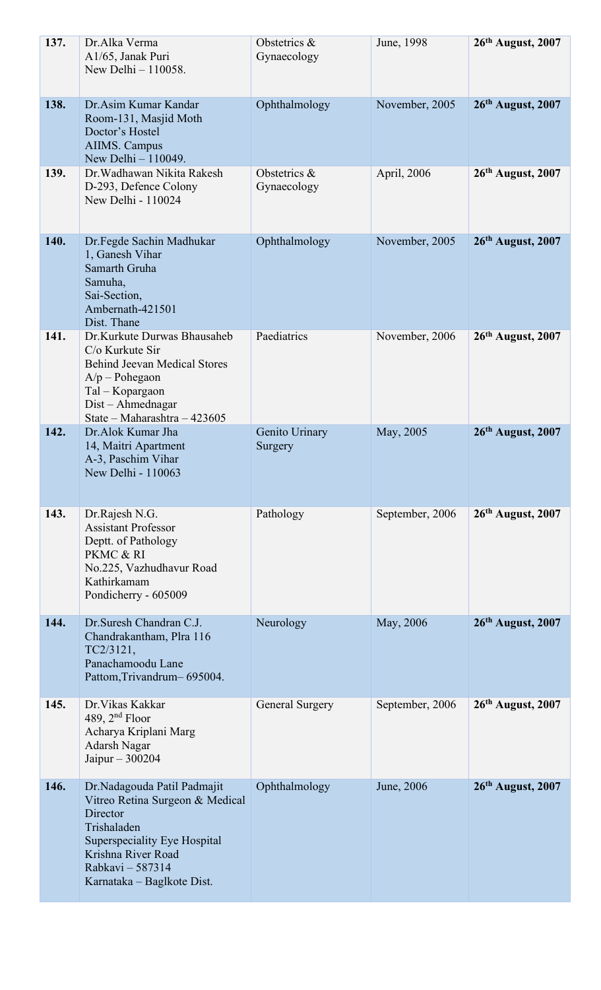| 137. | Dr.Alka Verma<br>A1/65, Janak Puri<br>New Delhi - 110058.                                                                                                                                         | Obstetrics &<br>Gynaecology | June, 1998      | $26th$ August, 2007 |
|------|---------------------------------------------------------------------------------------------------------------------------------------------------------------------------------------------------|-----------------------------|-----------------|---------------------|
| 138. | Dr. Asim Kumar Kandar<br>Room-131, Masjid Moth<br>Doctor's Hostel<br><b>AIIMS. Campus</b><br>New Delhi - 110049.                                                                                  | Ophthalmology               | November, 2005  | 26th August, 2007   |
| 139. | Dr. Wadhawan Nikita Rakesh<br>D-293, Defence Colony<br>New Delhi - 110024                                                                                                                         | Obstetrics &<br>Gynaecology | April, 2006     | 26th August, 2007   |
| 140. | Dr.Fegde Sachin Madhukar<br>1, Ganesh Vihar<br>Samarth Gruha<br>Samuha,<br>Sai-Section,<br>Ambernath-421501<br>Dist. Thane                                                                        | Ophthalmology               | November, 2005  | $26th$ August, 2007 |
| 141. | Dr.Kurkute Durwas Bhausaheb<br>C/o Kurkute Sir<br><b>Behind Jeevan Medical Stores</b><br>$A/p$ – Pohegaon<br>Tal - Kopargaon<br>Dist – Ahmednagar<br>State - Maharashtra - 423605                 | Paediatrics                 | November, 2006  | $26th$ August, 2007 |
| 142. | Dr.Alok Kumar Jha<br>14, Maitri Apartment<br>A-3, Paschim Vihar<br>New Delhi - 110063                                                                                                             | Genito Urinary<br>Surgery   | May, 2005       | $26th$ August, 2007 |
| 143. | Dr.Rajesh N.G.<br><b>Assistant Professor</b><br>Deptt. of Pathology<br>PKMC & RI<br>No.225, Vazhudhavur Road<br>Kathirkamam<br>Pondicherry - 605009                                               | Pathology                   | September, 2006 | $26th$ August, 2007 |
| 144. | Dr. Suresh Chandran C.J.<br>Chandrakantham, Plra 116<br>TC2/3121,<br>Panachamoodu Lane<br>Pattom, Trivandrum-695004.                                                                              | Neurology                   | May, 2006       | $26th$ August, 2007 |
| 145. | Dr. Vikas Kakkar<br>489, $2nd$ Floor<br>Acharya Kriplani Marg<br>Adarsh Nagar<br>Jaipur $-300204$                                                                                                 | General Surgery             | September, 2006 | $26th$ August, 2007 |
| 146. | Dr.Nadagouda Patil Padmajit<br>Vitreo Retina Surgeon & Medical<br>Director<br>Trishaladen<br>Superspeciality Eye Hospital<br>Krishna River Road<br>Rabkavi - 587314<br>Karnataka – Baglkote Dist. | Ophthalmology               | June, 2006      | $26th$ August, 2007 |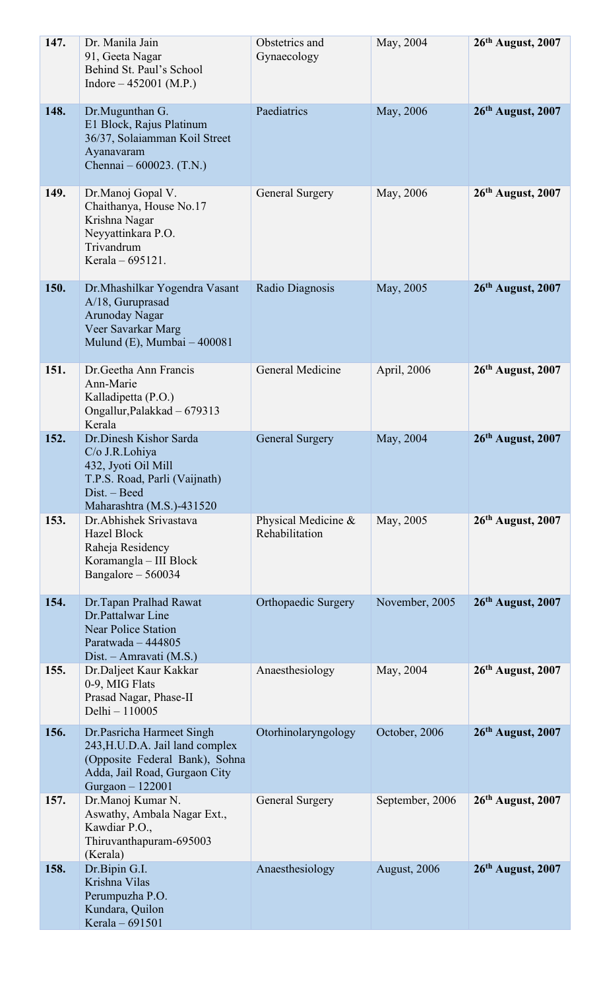| 147. | Dr. Manila Jain<br>91, Geeta Nagar<br>Behind St. Paul's School<br>Indore $-452001$ (M.P.)                                                           | Obstetrics and<br>Gynaecology         | May, 2004       | $26th$ August, 2007 |
|------|-----------------------------------------------------------------------------------------------------------------------------------------------------|---------------------------------------|-----------------|---------------------|
| 148. | Dr.Mugunthan G.<br>E1 Block, Rajus Platinum<br>36/37, Solaiamman Koil Street<br>Ayanavaram<br>Chennai $-600023$ . (T.N.)                            | Paediatrics                           | May, 2006       | 26th August, 2007   |
| 149. | Dr.Manoj Gopal V.<br>Chaithanya, House No.17<br>Krishna Nagar<br>Neyyattinkara P.O.<br>Trivandrum<br>Kerala – 695121.                               | <b>General Surgery</b>                | May, 2006       | 26th August, 2007   |
| 150. | Dr. Mhashilkar Yogendra Vasant<br>A/18, Guruprasad<br><b>Arunoday Nagar</b><br>Veer Savarkar Marg<br>Mulund (E), Mumbai - 400081                    | Radio Diagnosis                       | May, 2005       | 26th August, 2007   |
| 151. | Dr. Geetha Ann Francis<br>Ann-Marie<br>Kalladipetta (P.O.)<br>Ongallur, Palakkad – 679313<br>Kerala                                                 | General Medicine                      | April, 2006     | $26th$ August, 2007 |
| 152. | Dr.Dinesh Kishor Sarda<br>C/o J.R.Lohiya<br>432, Jyoti Oil Mill<br>T.P.S. Road, Parli (Vaijnath)<br>Dist. - Beed<br>Maharashtra (M.S.)-431520       | <b>General Surgery</b>                | May, 2004       | 26th August, 2007   |
| 153. | Dr. Abhishek Srivastava<br>Hazel Block<br>Raheja Residency<br>Koramangla - III Block<br>Bangalore - 560034                                          | Physical Medicine &<br>Rehabilitation | May, 2005       | 26th August, 2007   |
| 154. | Dr. Tapan Pralhad Rawat<br>Dr.Pattalwar Line<br><b>Near Police Station</b><br>Paratwada - 444805<br>Dist. – Amravati (M.S.)                         | <b>Orthopaedic Surgery</b>            | November, 2005  | 26th August, 2007   |
| 155. | Dr.Daljeet Kaur Kakkar<br>0-9, MIG Flats<br>Prasad Nagar, Phase-II<br>Delhi - 110005                                                                | Anaesthesiology                       | May, 2004       | $26th$ August, 2007 |
| 156. | Dr.Pasricha Harmeet Singh<br>243, H.U.D.A. Jail land complex<br>(Opposite Federal Bank), Sohna<br>Adda, Jail Road, Gurgaon City<br>Gurgaon - 122001 | Otorhinolaryngology                   | October, 2006   | $26th$ August, 2007 |
| 157. | Dr.Manoj Kumar N.<br>Aswathy, Ambala Nagar Ext.,<br>Kawdiar P.O.,<br>Thiruvanthapuram-695003<br>(Kerala)                                            | <b>General Surgery</b>                | September, 2006 | $26th$ August, 2007 |
| 158. | Dr.Bipin G.I.<br>Krishna Vilas<br>Perumpuzha P.O.<br>Kundara, Quilon<br>Kerala - 691501                                                             | Anaesthesiology                       | August, 2006    | 26th August, 2007   |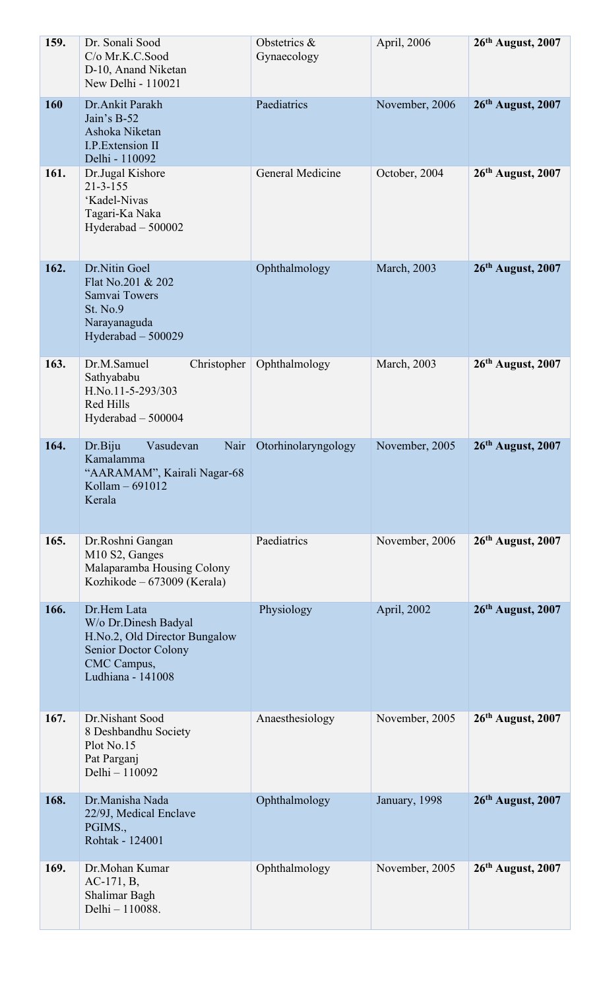| 159. | Dr. Sonali Sood<br>C/o Mr.K.C.Sood<br>D-10, Anand Niketan<br>New Delhi - 110021                                                  | Obstetrics &<br>Gynaecology | April, 2006    | 26th August, 2007   |
|------|----------------------------------------------------------------------------------------------------------------------------------|-----------------------------|----------------|---------------------|
| 160  | Dr.Ankit Parakh<br>Jain's B-52<br>Ashoka Niketan<br>I.P. Extension II<br>Delhi - 110092                                          | Paediatrics                 | November, 2006 | 26th August, 2007   |
| 161. | Dr.Jugal Kishore<br>$21 - 3 - 155$<br>'Kadel-Nivas<br>Tagari-Ka Naka<br>Hyderabad $-500002$                                      | General Medicine            | October, 2004  | $26th$ August, 2007 |
| 162. | Dr.Nitin Goel<br>Flat No.201 & 202<br>Samvai Towers<br><b>St. No.9</b><br>Narayanaguda<br>Hyderabad - 500029                     | Ophthalmology               | March, 2003    | 26th August, 2007   |
| 163. | Dr.M.Samuel<br>Christopher<br>Sathyababu<br>H.No.11-5-293/303<br><b>Red Hills</b><br>Hyderabad - 500004                          | Ophthalmology               | March, 2003    | $26th$ August, 2007 |
| 164. | Dr.Biju<br>Vasudevan<br>Nair<br>Kamalamma<br>"AARAMAM", Kairali Nagar-68<br>Kollam - 691012<br>Kerala                            | Otorhinolaryngology         | November, 2005 | $26th$ August, 2007 |
| 165. | Dr.Roshni Gangan<br>M10 S2, Ganges<br>Malaparamba Housing Colony<br>Kozhikode – 673009 (Kerala)                                  | Paediatrics                 | November, 2006 | 26th August, 2007   |
| 166. | Dr.Hem Lata<br>W/o Dr.Dinesh Badyal<br>H.No.2, Old Director Bungalow<br>Senior Doctor Colony<br>CMC Campus,<br>Ludhiana - 141008 | Physiology                  | April, 2002    | $26th$ August, 2007 |
| 167. | Dr.Nishant Sood<br>8 Deshbandhu Society<br>Plot No.15<br>Pat Parganj<br>Delhi - 110092                                           | Anaesthesiology             | November, 2005 | $26th$ August, 2007 |
| 168. | Dr.Manisha Nada<br>22/9J, Medical Enclave<br>PGIMS.,<br>Rohtak - 124001                                                          | Ophthalmology               | January, 1998  | 26th August, 2007   |
| 169. | Dr.Mohan Kumar<br>$AC-171, B,$<br>Shalimar Bagh<br>Delhi - 110088.                                                               | Ophthalmology               | November, 2005 | $26th$ August, 2007 |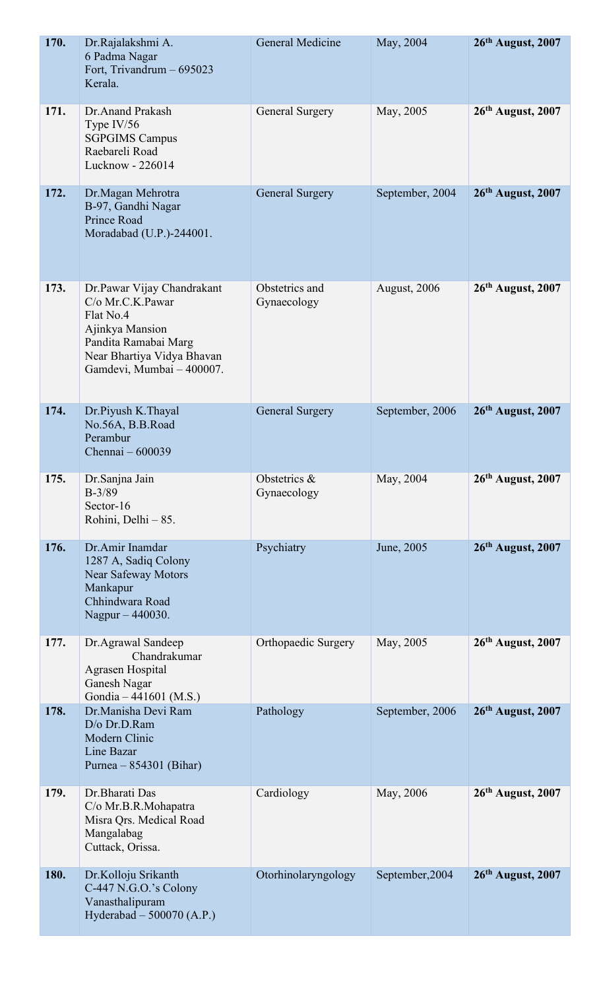| 170. | Dr.Rajalakshmi A.<br>6 Padma Nagar<br>Fort, Trivandrum - 695023<br>Kerala.                                                                                        | <b>General Medicine</b>        | May, 2004       | 26th August, 2007   |
|------|-------------------------------------------------------------------------------------------------------------------------------------------------------------------|--------------------------------|-----------------|---------------------|
| 171. | Dr. Anand Prakash<br>Type $IV/56$<br><b>SGPGIMS Campus</b><br>Raebareli Road<br>Lucknow - 226014                                                                  | General Surgery                | May, 2005       | 26th August, 2007   |
| 172. | Dr. Magan Mehrotra<br>B-97, Gandhi Nagar<br>Prince Road<br>Moradabad (U.P.)-244001.                                                                               | <b>General Surgery</b>         | September, 2004 | 26th August, 2007   |
| 173. | Dr.Pawar Vijay Chandrakant<br>C/o Mr.C.K.Pawar<br>Flat No.4<br>Ajinkya Mansion<br>Pandita Ramabai Marg<br>Near Bhartiya Vidya Bhavan<br>Gamdevi, Mumbai - 400007. | Obstetrics and<br>Gynaecology  | August, 2006    | 26th August, 2007   |
| 174. | Dr.Piyush K.Thayal<br>No.56A, B.B.Road<br>Perambur<br>Chennai - 600039                                                                                            | <b>General Surgery</b>         | September, 2006 | 26th August, 2007   |
| 175. | Dr.Sanjna Jain<br>$B-3/89$<br>Sector-16<br>Rohini, Delhi - 85.                                                                                                    | Obstetrics $\&$<br>Gynaecology | May, 2004       | $26th$ August, 2007 |
| 176. | Dr.Amir Inamdar<br>1287 A, Sadiq Colony<br><b>Near Safeway Motors</b><br>Mankapur<br>Chhindwara Road<br>Nagpur - 440030.                                          | Psychiatry                     | June, 2005      | $26th$ August, 2007 |
| 177. | Dr.Agrawal Sandeep<br>Chandrakumar<br><b>Agrasen Hospital</b><br>Ganesh Nagar<br>Gondia - 441601 (M.S.)                                                           | Orthopaedic Surgery            | May, 2005       | $26th$ August, 2007 |
| 178. | Dr.Manisha Devi Ram<br>D/o Dr.D.Ram<br>Modern Clinic<br>Line Bazar<br>Purnea $-854301$ (Bihar)                                                                    | Pathology                      | September, 2006 | 26th August, 2007   |
| 179. | Dr.Bharati Das<br>C/o Mr.B.R.Mohapatra<br>Misra Qrs. Medical Road<br>Mangalabag<br>Cuttack, Orissa.                                                               | Cardiology                     | May, 2006       | 26th August, 2007   |
| 180. | Dr.Kolloju Srikanth<br>C-447 N.G.O.'s Colony<br>Vanasthalipuram<br>Hyderabad - 500070 (A.P.)                                                                      | Otorhinolaryngology            | September, 2004 | $26th$ August, 2007 |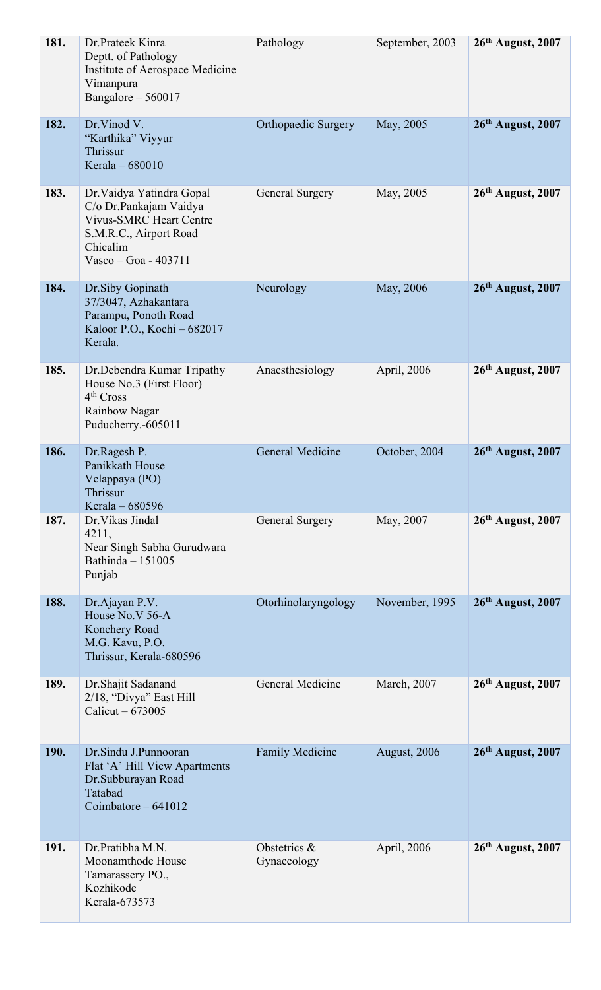| 181. | Dr.Prateek Kinra<br>Deptt. of Pathology<br>Institute of Aerospace Medicine<br>Vimanpura<br>Bangalore - 560017                                         | Pathology                   | September, 2003     | $26th$ August, 2007 |
|------|-------------------------------------------------------------------------------------------------------------------------------------------------------|-----------------------------|---------------------|---------------------|
| 182. | Dr.Vinod V.<br>"Karthika" Viyyur<br>Thrissur<br>Kerala - 680010                                                                                       | <b>Orthopaedic Surgery</b>  | May, 2005           | 26th August, 2007   |
| 183. | Dr. Vaidya Yatindra Gopal<br>C/o Dr.Pankajam Vaidya<br><b>Vivus-SMRC Heart Centre</b><br>S.M.R.C., Airport Road<br>Chicalim<br>Vasco - Goa - $403711$ | General Surgery             | May, 2005           | 26th August, 2007   |
| 184. | Dr.Siby Gopinath<br>37/3047, Azhakantara<br>Parampu, Ponoth Road<br>Kaloor P.O., Kochi - 682017<br>Kerala.                                            | Neurology                   | May, 2006           | 26th August, 2007   |
| 185. | Dr. Debendra Kumar Tripathy<br>House No.3 (First Floor)<br>4 <sup>th</sup> Cross<br>Rainbow Nagar<br>Puducherry.-605011                               | Anaesthesiology             | April, 2006         | $26th$ August, 2007 |
| 186. | Dr.Ragesh P.<br>Panikkath House<br>Velappaya (PO)<br>Thrissur<br>Kerala – 680596                                                                      | General Medicine            | October, 2004       | $26th$ August, 2007 |
| 187. | Dr. Vikas Jindal<br>4211,<br>Near Singh Sabha Gurudwara<br>Bathinda $-151005$<br>Punjab                                                               | <b>General Surgery</b>      | May, 2007           | 26th August, 2007   |
| 188. | Dr.Ajayan P.V.<br>House No.V 56-A<br>Konchery Road<br>M.G. Kavu, P.O.<br>Thrissur, Kerala-680596                                                      | Otorhinolaryngology         | November, 1995      | 26th August, 2007   |
| 189. | Dr.Shajit Sadanand<br>2/18, "Divya" East Hill<br>Calicut $-673005$                                                                                    | General Medicine            | March, 2007         | 26th August, 2007   |
| 190. | Dr.Sindu J.Punnooran<br>Flat 'A' Hill View Apartments<br>Dr.Subburayan Road<br>Tatabad<br>Coimbatore $-641012$                                        | <b>Family Medicine</b>      | <b>August, 2006</b> | $26th$ August, 2007 |
| 191. | Dr. Pratibha M.N.<br>Moonamthode House<br>Tamarassery PO.,<br>Kozhikode<br>Kerala-673573                                                              | Obstetrics &<br>Gynaecology | April, 2006         | $26th$ August, 2007 |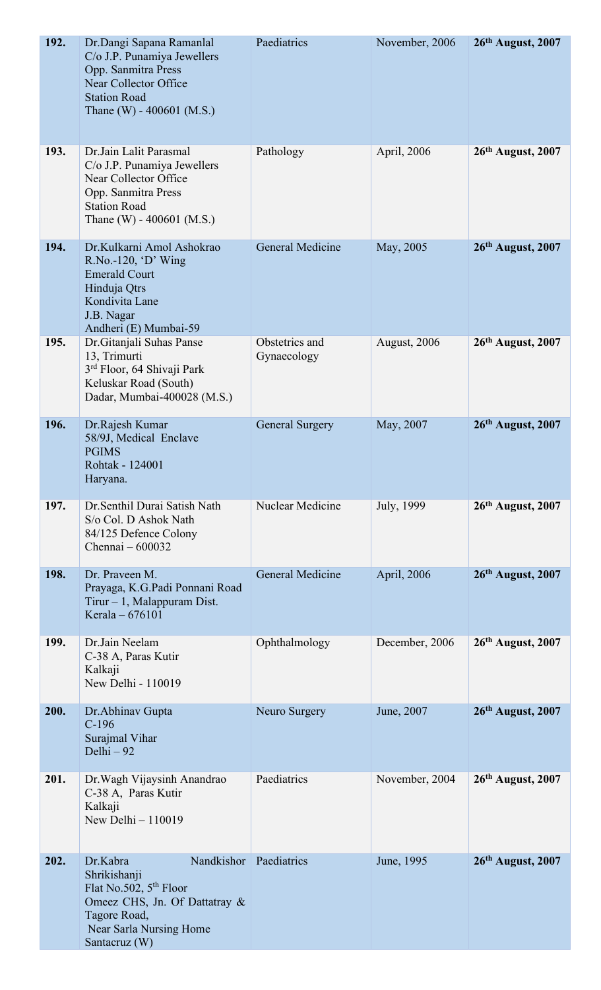| 192. | Dr.Dangi Sapana Ramanlal<br>C/o J.P. Punamiya Jewellers<br>Opp. Sanmitra Press<br>Near Collector Office<br><b>Station Road</b><br>Thane (W) - $400601$ (M.S.)            | Paediatrics                   | November, 2006 | 26th August, 2007   |
|------|--------------------------------------------------------------------------------------------------------------------------------------------------------------------------|-------------------------------|----------------|---------------------|
| 193. | Dr.Jain Lalit Parasmal<br>C/o J.P. Punamiya Jewellers<br>Near Collector Office<br>Opp. Sanmitra Press<br><b>Station Road</b><br>Thane (W) - $400601$ (M.S.)              | Pathology                     | April, 2006    | $26th$ August, 2007 |
| 194. | Dr.Kulkarni Amol Ashokrao<br>$R.No.-120, 'D'$ Wing<br><b>Emerald Court</b><br>Hinduja Qtrs<br>Kondivita Lane<br>J.B. Nagar<br>Andheri (E) Mumbai-59                      | General Medicine              | May, 2005      | 26th August, 2007   |
| 195. | Dr. Gitanjali Suhas Panse<br>13, Trimurti<br>3 <sup>rd</sup> Floor, 64 Shivaji Park<br>Keluskar Road (South)<br>Dadar, Mumbai-400028 (M.S.)                              | Obstetrics and<br>Gynaecology | August, 2006   | $26th$ August, 2007 |
| 196. | Dr.Rajesh Kumar<br>58/9J, Medical Enclave<br><b>PGIMS</b><br>Rohtak - 124001<br>Haryana.                                                                                 | <b>General Surgery</b>        | May, 2007      | $26th$ August, 2007 |
| 197. | Dr. Senthil Durai Satish Nath<br>S/o Col. D Ashok Nath<br>84/125 Defence Colony<br>Chennai - 600032                                                                      | Nuclear Medicine              | July, 1999     | 26th August, 2007   |
| 198. | Dr. Praveen M.<br>Prayaga, K.G.Padi Ponnani Road<br>Tirur $-1$ , Malappuram Dist.<br>Kerala – 676101                                                                     | General Medicine              | April, 2006    | 26th August, 2007   |
| 199. | Dr.Jain Neelam<br>C-38 A, Paras Kutir<br>Kalkaji<br>New Delhi - 110019                                                                                                   | Ophthalmology                 | December, 2006 | $26th$ August, 2007 |
| 200. | Dr. Abhinav Gupta<br>$C-196$<br>Surajmal Vihar<br>Delhi - 92                                                                                                             | Neuro Surgery                 | June, 2007     | $26th$ August, 2007 |
| 201. | Dr. Wagh Vijaysinh Anandrao<br>C-38 A, Paras Kutir<br>Kalkaji<br>New Delhi - 110019                                                                                      | Paediatrics                   | November, 2004 | $26th$ August, 2007 |
| 202. | Nandkishor<br>Dr.Kabra<br>Shrikishanji<br>Flat No.502, 5 <sup>th</sup> Floor<br>Omeez CHS, Jn. Of Dattatray &<br>Tagore Road<br>Near Sarla Nursing Home<br>Santacruz (W) | Paediatrics                   | June, 1995     | 26th August, 2007   |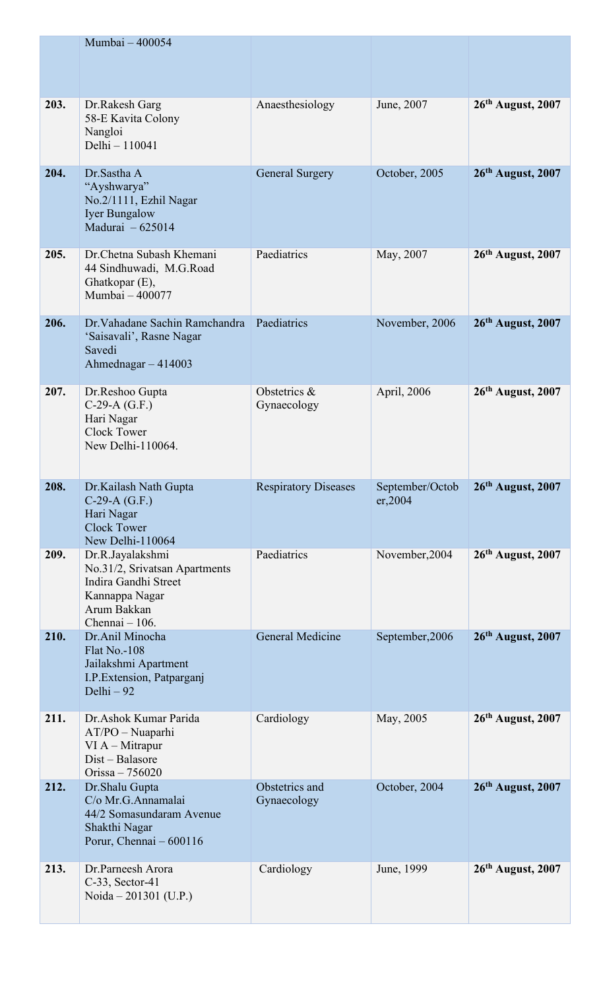|      | Mumbai - 400054                                                                                                                |                               |                             |                     |
|------|--------------------------------------------------------------------------------------------------------------------------------|-------------------------------|-----------------------------|---------------------|
| 203. | Dr.Rakesh Garg<br>58-E Kavita Colony<br>Nangloi<br>Delhi - 110041                                                              | Anaesthesiology               | June, 2007                  | $26th$ August, 2007 |
| 204. | Dr. Sastha A<br>"Ayshwarya"<br>No.2/1111, Ezhil Nagar<br><b>Iyer Bungalow</b><br>Madurai - 625014                              | <b>General Surgery</b>        | October, 2005               | 26th August, 2007   |
| 205. | Dr. Chetna Subash Khemani<br>44 Sindhuwadi, M.G.Road<br>Ghatkopar (E),<br>Mumbai - 400077                                      | Paediatrics                   | May, 2007                   | 26th August, 2007   |
| 206. | Dr. Vahadane Sachin Ramchandra<br>'Saisavali', Rasne Nagar<br>Savedi<br>Ahmednagar $-414003$                                   | Paediatrics                   | November, 2006              | 26th August, 2007   |
| 207. | Dr.Reshoo Gupta<br>$C-29-A(G.F.)$<br>Hari Nagar<br><b>Clock Tower</b><br>New Delhi-110064.                                     | Obstetrics &<br>Gynaecology   | April, 2006                 | 26th August, 2007   |
| 208. | Dr.Kailash Nath Gupta<br>$C-29-A(G.F.)$<br>Hari Nagar<br><b>Clock Tower</b><br>New Delhi-110064                                | <b>Respiratory Diseases</b>   | September/Octob<br>er, 2004 | 26th August, 2007   |
| 209. | Dr.R.Jayalakshmi<br>No.31/2, Srivatsan Apartments<br>Indira Gandhi Street<br>Kannappa Nagar<br>Arum Bakkan<br>Chennai $-106$ . | Paediatrics                   | November, 2004              | $26th$ August, 2007 |
| 210. | Dr.Anil Minocha<br><b>Flat No.-108</b><br>Jailakshmi Apartment<br>I.P.Extension, Patparganj<br>Delhi - 92                      | General Medicine              | September, 2006             | $26th$ August, 2007 |
| 211. | Dr.Ashok Kumar Parida<br>$AT/PO-Nuaparhi$<br>$VI A - Mitrapur$<br>Dist - Balasore<br>Orissa $-756020$                          | Cardiology                    | May, 2005                   | $26th$ August, 2007 |
| 212. | Dr.Shalu Gupta<br>C/o Mr.G.Annamalai<br>44/2 Somasundaram Avenue<br>Shakthi Nagar<br>Porur, Chennai – 600116                   | Obstetrics and<br>Gynaecology | October, 2004               | 26th August, 2007   |
| 213. | Dr.Parneesh Arora<br>$C-33$ , Sector-41<br>Noida – 201301 (U.P.)                                                               | Cardiology                    | June, 1999                  | 26th August, 2007   |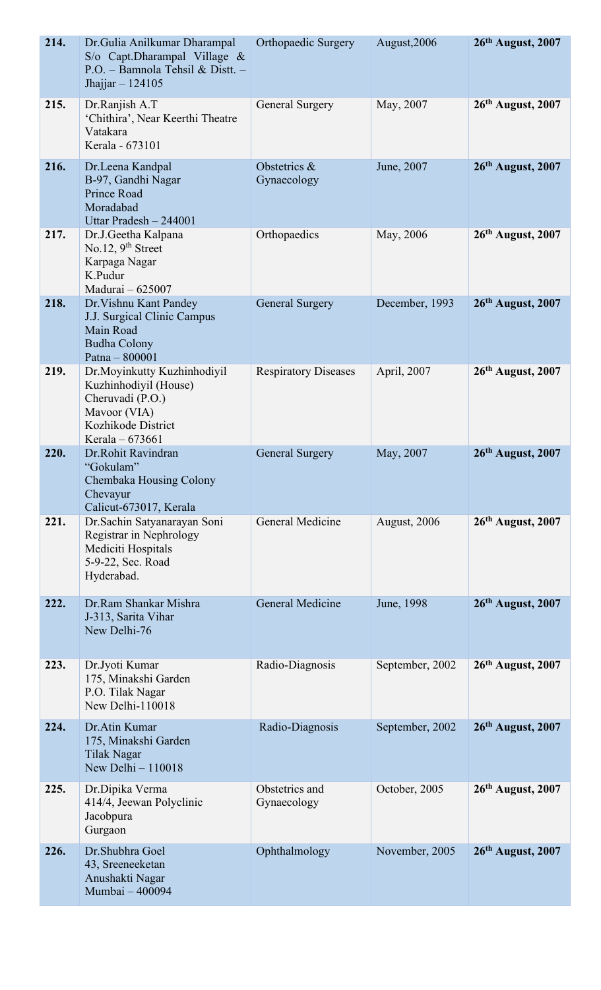| 214. | Dr. Gulia Anilkumar Dharampal<br>S/o Capt.Dharampal Village &<br>P.O. - Bamnola Tehsil & Distt. -<br>Jhajjar $-124105$              | <b>Orthopaedic Surgery</b>    | August, 2006        | $26th$ August, 2007 |
|------|-------------------------------------------------------------------------------------------------------------------------------------|-------------------------------|---------------------|---------------------|
| 215. | Dr.Ranjish A.T<br>'Chithira', Near Keerthi Theatre<br>Vatakara<br>Kerala - 673101                                                   | General Surgery               | May, 2007           | 26th August, 2007   |
| 216. | Dr.Leena Kandpal<br>B-97, Gandhi Nagar<br>Prince Road<br>Moradabad<br>Uttar Pradesh - 244001                                        | Obstetrics &<br>Gynaecology   | June, 2007          | 26th August, 2007   |
| 217. | Dr.J.Geetha Kalpana<br>No.12, $9th$ Street<br>Karpaga Nagar<br>K.Pudur<br>Madurai - 625007                                          | Orthopaedics                  | May, 2006           | 26th August, 2007   |
| 218. | Dr. Vishnu Kant Pandey<br>J.J. Surgical Clinic Campus<br>Main Road<br><b>Budha Colony</b><br>Patna - 800001                         | <b>General Surgery</b>        | December, 1993      | $26th$ August, 2007 |
| 219. | Dr. Moyinkutty Kuzhinhodiyil<br>Kuzhinhodiyil (House)<br>Cheruvadi (P.O.)<br>Mavoor (VIA)<br>Kozhikode District<br>Kerala $-673661$ | <b>Respiratory Diseases</b>   | April, 2007         | 26th August, 2007   |
| 220. | Dr.Rohit Ravindran<br>"Gokulam"<br>Chembaka Housing Colony<br>Chevayur<br>Calicut-673017, Kerala                                    | <b>General Surgery</b>        | May, 2007           | 26th August, 2007   |
| 221. | Dr. Sachin Satyanarayan Soni<br>Registrar in Nephrology<br>Mediciti Hospitals<br>5-9-22, Sec. Road<br>Hyderabad.                    | General Medicine              | <b>August, 2006</b> | $26th$ August, 2007 |
| 222. | Dr.Ram Shankar Mishra<br>J-313, Sarita Vihar<br>New Delhi-76                                                                        | General Medicine              | June, 1998          | 26th August, 2007   |
| 223. | Dr.Jyoti Kumar<br>175, Minakshi Garden<br>P.O. Tilak Nagar<br>New Delhi-110018                                                      | Radio-Diagnosis               | September, 2002     | $26th$ August, 2007 |
| 224. | Dr.Atin Kumar<br>175, Minakshi Garden<br><b>Tilak Nagar</b><br>New Delhi - 110018                                                   | Radio-Diagnosis               | September, 2002     | $26th$ August, 2007 |
| 225. | Dr.Dipika Verma<br>414/4, Jeewan Polyclinic<br>Jacobpura<br>Gurgaon                                                                 | Obstetrics and<br>Gynaecology | October, 2005       | $26th$ August, 2007 |
| 226. | Dr. Shubhra Goel<br>43, Sreeneeketan<br>Anushakti Nagar<br>Mumbai - 400094                                                          | Ophthalmology                 | November, 2005      | $26th$ August, 2007 |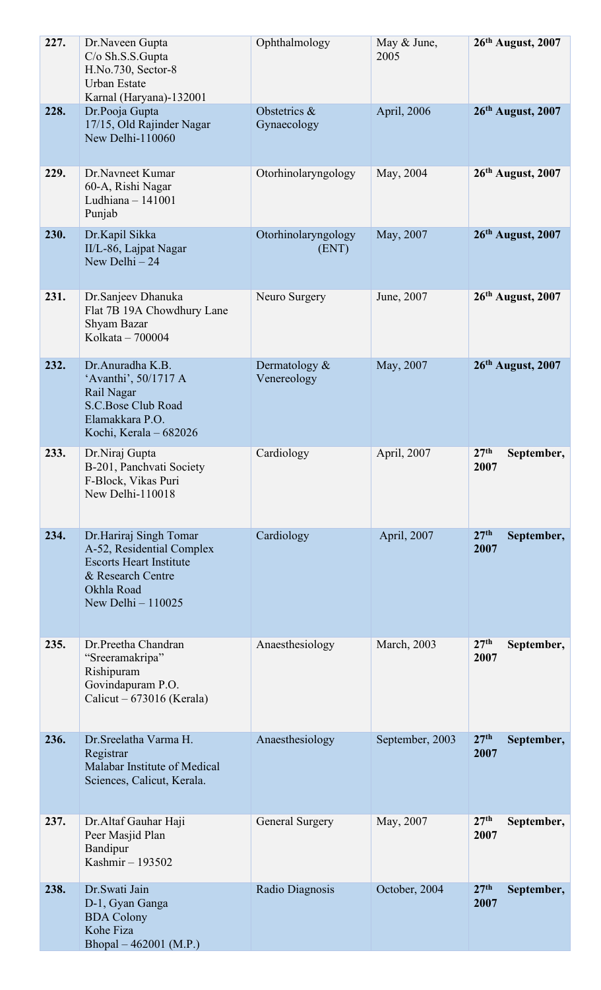| 227. | Dr.Naveen Gupta<br>C/o Sh.S.S.Gupta<br>H.No.730, Sector-8<br><b>Urban Estate</b><br>Karnal (Haryana)-132001                                    | Ophthalmology                  | May & June,<br>2005 | 26th August, 2007                      |
|------|------------------------------------------------------------------------------------------------------------------------------------------------|--------------------------------|---------------------|----------------------------------------|
| 228. | Dr.Pooja Gupta<br>17/15, Old Rajinder Nagar<br>New Delhi-110060                                                                                | Obstetrics &<br>Gynaecology    | April, 2006         | 26th August, 2007                      |
| 229. | Dr.Navneet Kumar<br>60-A, Rishi Nagar<br>Ludhiana $-141001$<br>Punjab                                                                          | Otorhinolaryngology            | May, 2004           | 26th August, 2007                      |
| 230. | Dr.Kapil Sikka<br>II/L-86, Lajpat Nagar<br>New Delhi $-24$                                                                                     | Otorhinolaryngology<br>(ENT)   | May, 2007           | 26th August, 2007                      |
| 231. | Dr.Sanjeev Dhanuka<br>Flat 7B 19A Chowdhury Lane<br>Shyam Bazar<br>Kolkata - 700004                                                            | Neuro Surgery                  | June, 2007          | 26th August, 2007                      |
| 232. | Dr.Anuradha K.B.<br>'Avanthi', 50/1717 A<br>Rail Nagar<br>S.C.Bose Club Road<br>Elamakkara P.O.<br>Kochi, Kerala - 682026                      | Dermatology $&$<br>Venereology | May, 2007           | $26th$ August, 2007                    |
| 233. | Dr.Niraj Gupta<br>B-201, Panchvati Society<br>F-Block, Vikas Puri<br>New Delhi-110018                                                          | Cardiology                     | April, 2007         | 27 <sup>th</sup><br>September,<br>2007 |
| 234. | Dr.Hariraj Singh Tomar<br>A-52, Residential Complex<br><b>Escorts Heart Institute</b><br>& Research Centre<br>Okhla Road<br>New Delhi - 110025 | Cardiology                     | April, 2007         | 27 <sup>th</sup><br>September,<br>2007 |
| 235. | Dr.Preetha Chandran<br>"Sreeramakripa"<br>Rishipuram<br>Govindapuram P.O.<br>Calicut – $673016$ (Kerala)                                       | Anaesthesiology                | March, 2003         | 27 <sup>th</sup><br>September,<br>2007 |
| 236. | Dr. Sreelatha Varma H.<br>Registrar<br>Malabar Institute of Medical<br>Sciences, Calicut, Kerala.                                              | Anaesthesiology                | September, 2003     | 27 <sup>th</sup><br>September,<br>2007 |
| 237. | Dr. Altaf Gauhar Haji<br>Peer Masjid Plan<br>Bandipur<br>Kashmir - 193502                                                                      | General Surgery                | May, 2007           | 27 <sup>th</sup><br>September,<br>2007 |
| 238. | Dr.Swati Jain<br>D-1, Gyan Ganga<br><b>BDA Colony</b><br>Kohe Fiza<br>Bhopal – 462001 (M.P.)                                                   | Radio Diagnosis                | October, 2004       | 27 <sup>th</sup><br>September,<br>2007 |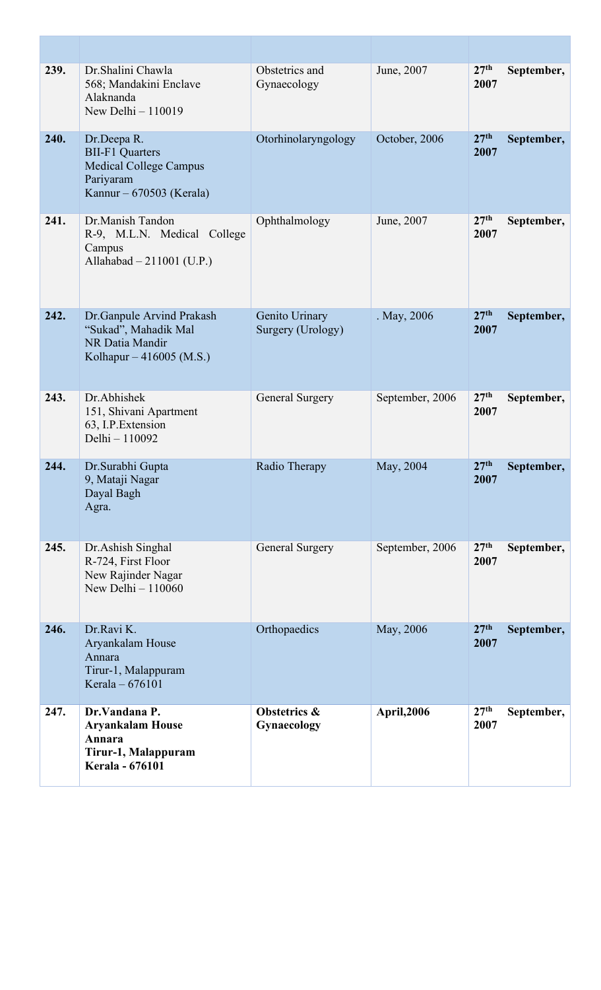| 239. | Dr. Shalini Chawla<br>568; Mandakini Enclave<br>Alaknanda<br>New Delhi $-110019$                                | Obstetrics and<br>Gynaecology       | June, 2007         | 27 <sup>th</sup><br>2007 | September, |
|------|-----------------------------------------------------------------------------------------------------------------|-------------------------------------|--------------------|--------------------------|------------|
| 240. | Dr.Deepa R.<br><b>BII-F1 Quarters</b><br><b>Medical College Campus</b><br>Pariyaram<br>Kannur – 670503 (Kerala) | Otorhinolaryngology                 | October, 2006      | 27 <sup>th</sup><br>2007 | September, |
| 241. | Dr.Manish Tandon<br>R-9, M.L.N. Medical College<br>Campus<br>Allahabad - 211001 (U.P.)                          | Ophthalmology                       | June, 2007         | 27 <sup>th</sup><br>2007 | September, |
| 242. | Dr. Ganpule Arvind Prakash<br>"Sukad", Mahadik Mal<br>NR Datia Mandir<br>Kolhapur – 416005 (M.S.)               | Genito Urinary<br>Surgery (Urology) | . May, 2006        | 27 <sup>th</sup><br>2007 | September, |
| 243. | Dr.Abhishek<br>151, Shivani Apartment<br>63, I.P. Extension<br>Delhi - 110092                                   | <b>General Surgery</b>              | September, 2006    | 27 <sup>th</sup><br>2007 | September, |
| 244. | Dr.Surabhi Gupta<br>9, Mataji Nagar<br>Dayal Bagh<br>Agra.                                                      | Radio Therapy                       | May, 2004          | 27 <sup>th</sup><br>2007 | September, |
| 245. | Dr. Ashish Singhal<br>R-724, First Floor<br>New Rajinder Nagar<br>New Delhi $-110060$                           | <b>General Surgery</b>              | September, 2006    | 27 <sup>th</sup><br>2007 | September, |
| 246. | Dr.Ravi K.<br>Aryankalam House<br>Annara<br>Tirur-1, Malappuram<br>Kerala - 676101                              | Orthopaedics                        | May, 2006          | 27 <sup>th</sup><br>2007 | September, |
| 247. | Dr.Vandana P.<br><b>Aryankalam House</b><br>Annara<br>Tirur-1, Malappuram<br><b>Kerala - 676101</b>             | Obstetrics &<br>Gynaecology         | <b>April, 2006</b> | 27 <sup>th</sup><br>2007 | September, |